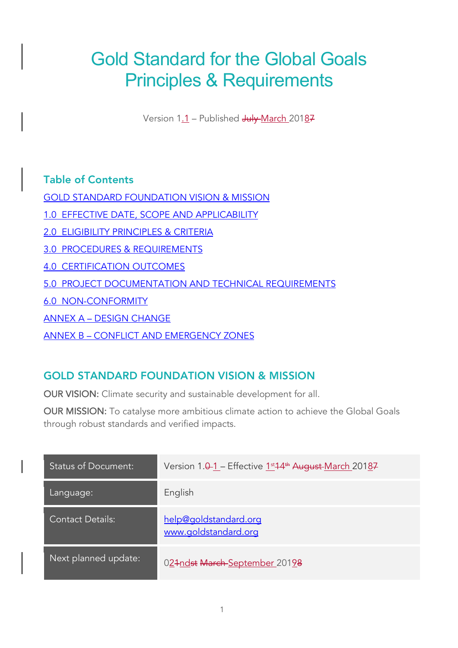# Gold Standard for the Global Goals Principles & Requirements

Version 1.1 - Published July March 20187

# Table of Contents

GOLD STANDARD FOUNDATION VISION & MISSION

1.0 EFFECTIVE DATE, SCOPE AND APPLICABILITY

2.0 ELIGIBILITY PRINCIPLES & CRITERIA

3.0 PROCEDURES & REQUIREMENTS

4.0 CERTIFICATION OUTCOMES

5.0 PROJECT DOCUMENTATION AND TECHNICAL REQUIREMENTS

6.0 NON-CONFORMITY

ANNEX A – DESIGN CHANGE

ANNEX B – CONFLICT AND EMERGENCY ZONES

# GOLD STANDARD FOUNDATION VISION & MISSION

OUR VISION: Climate security and sustainable development for all.

OUR MISSION: To catalyse more ambitious climate action to achieve the Global Goals through robust standards and verified impacts.

| <b>Status of Document:</b> | Version 1.0-1 - Effective 1st 4 <sup>th</sup> August-March 20187 |
|----------------------------|------------------------------------------------------------------|
| Language:                  | English                                                          |
| <b>Contact Details:</b>    | help@qoldstandard.org<br>www.goldstandard.org                    |
| Next planned update:       | 024ndst March September 20198                                    |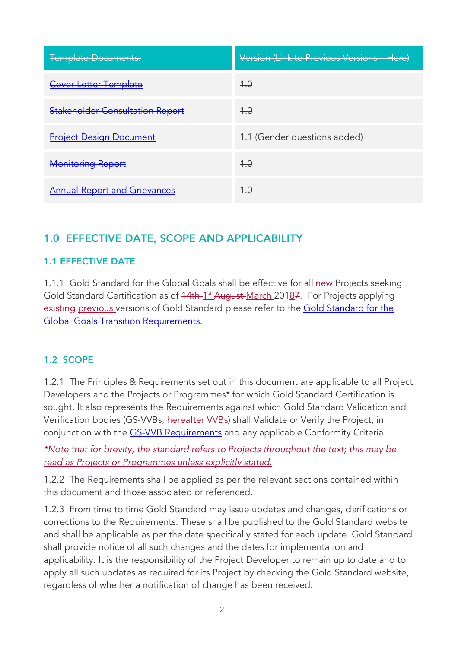| <b>Template Documents:</b>             | Version (Link to Previous Versions - Here) |
|----------------------------------------|--------------------------------------------|
| <b>Cover Letter Template</b>           | $+0$                                       |
| <b>Stakeholder Consultation Report</b> | 4.0                                        |
| <b>Project Design Document</b>         | 1.1 (Gender questions added)               |
| <b>Monitoring Report</b>               | $+0$                                       |
| <b>Annual Report and Grievances</b>    | $+.\theta$                                 |

# 1.0 EFFECTIVE DATE, SCOPE AND APPLICABILITY

#### 1.1 EFFECTIVE DATE

1.1.1 Gold Standard for the Global Goals shall be effective for all new-Projects seeking Gold Standard Certification as of 44th-1<sup>st</sup> August-March 20187. For Projects applying existing previous versions of Gold Standard please refer to the Gold Standard for the Global Goals Transition Requirements.

#### 1.2 SCOPE

1.2.1 The Principles & Requirements set out in this document are applicable to all Project Developers and the Projects or Programmes\* for which Gold Standard Certification is sought. It also represents the Requirements against which Gold Standard Validation and Verification bodies (GS-VVBs, hereafter VVBs) shall Validate or Verify the Project, in conjunction with the **GS-VVB Requirements** and any applicable Conformity Criteria.

*\*Note that for brevity, the standard refers to Projects throughout the text; this may be read as Projects or Programmes unless explicitly stated.*

1.2.2 The Requirements shall be applied as per the relevant sections contained within this document and those associated or referenced.

1.2.3 From time to time Gold Standard may issue updates and changes, clarifications or corrections to the Requirements. These shall be published to the Gold Standard website and shall be applicable as per the date specifically stated for each update. Gold Standard shall provide notice of all such changes and the dates for implementation and applicability. It is the responsibility of the Project Developer to remain up to date and to apply all such updates as required for its Project by checking the Gold Standard website, regardless of whether a notification of change has been received.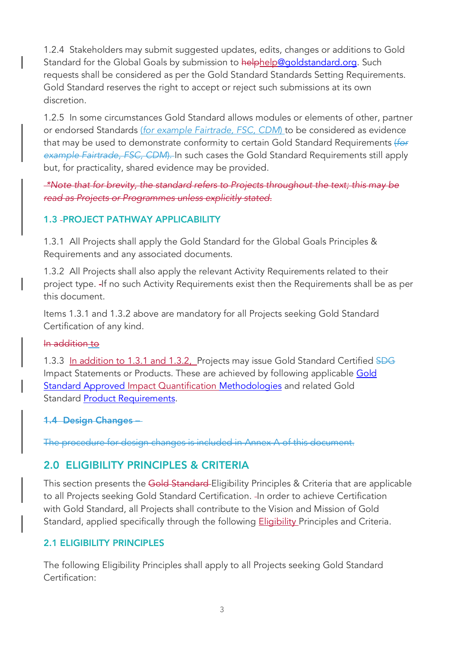1.2.4 Stakeholders may submit suggested updates, edits, changes or additions to Gold Standard for the Global Goals by submission to helphelp@goldstandard.org. Such requests shall be considered as per the Gold Standard Standards Setting Requirements. Gold Standard reserves the right to accept or reject such submissions at its own discretion.

1.2.5 In some circumstances Gold Standard allows modules or elements of other, partner or endorsed Standards (*for example Fairtrade, FSC, CDM*) to be considered as evidence that may be used to demonstrate conformity to certain Gold Standard Requirements (*for example Fairtrade, FSC, CDM*). In such cases the Gold Standard Requirements still apply but, for practicality, shared evidence may be provided.

*\*Note that for brevity, the standard refers to Projects throughout the text; this may be read as Projects or Programmes unless explicitly stated.*

## 1.3 PROJECT PATHWAY APPLICABILITY

1.3.1 All Projects shall apply the Gold Standard for the Global Goals Principles & Requirements and any associated documents.

1.3.2 All Projects shall also apply the relevant Activity Requirements related to their project type. -If no such Activity Requirements exist then the Requirements shall be as per this document.

Items 1.3.1 and 1.3.2 above are mandatory for all Projects seeking Gold Standard Certification of any kind.

#### In addition to

1.3.3 In addition to 1.3.1 and 1.3.2, Projects may issue Gold Standard Certified SDG Impact Statements or Products. These are achieved by following applicable Gold **Standard Approved Impact Quantification Methodologies** and related Gold Standard Product Requirements.

#### 1.4 Design Changes –

The procedure for design changes is included in Annex A of this document.

# 2.0 ELIGIBILITY PRINCIPLES & CRITERIA

This section presents the Gold Standard-Eligibility Principles & Criteria that are applicable to all Projects seeking Gold Standard Certification. - In order to achieve Certification with Gold Standard, all Projects shall contribute to the Vision and Mission of Gold Standard, applied specifically through the following **Eligibility** Principles and Criteria.

# 2.1 ELIGIBILITY PRINCIPLES

The following Eligibility Principles shall apply to all Projects seeking Gold Standard Certification: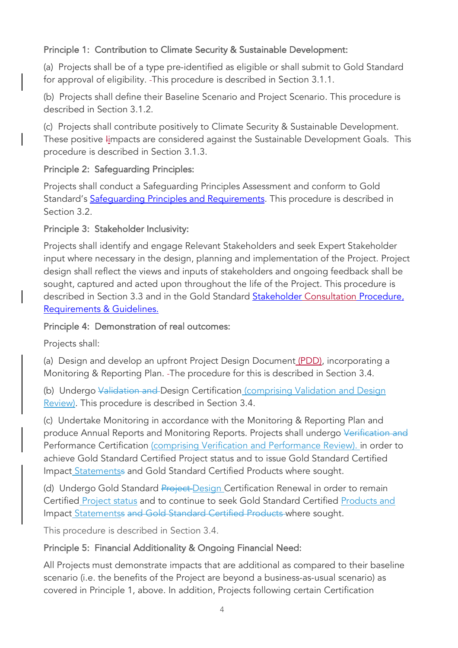# Principle 1: Contribution to Climate Security & Sustainable Development:

(a) Projects shall be of a type pre-identified as eligible or shall submit to Gold Standard for approval of eligibility. This procedure is described in Section 3.1.1.

(b) Projects shall define their Baseline Scenario and Project Scenario. This procedure is described in Section 3.1.2.

(c) Projects shall contribute positively to Climate Security & Sustainable Development. These positive *I*impacts are considered against the Sustainable Development Goals. This procedure is described in Section 3.1.3.

#### Principle 2: Safeguarding Principles:

Projects shall conduct a Safeguarding Principles Assessment and conform to Gold Standard's Safeguarding Principles and Requirements. This procedure is described in Section 3.2.

#### Principle 3: Stakeholder Inclusivity:

Projects shall identify and engage Relevant Stakeholders and seek Expert Stakeholder input where necessary in the design, planning and implementation of the Project. Project design shall reflect the views and inputs of stakeholders and ongoing feedback shall be sought, captured and acted upon throughout the life of the Project. This procedure is described in Section 3.3 and in the Gold Standard Stakeholder Consultation Procedure, Requirements & Guidelines.

#### Principle 4: Demonstration of real outcomes:

Projects shall:

(a) Design and develop an upfront Project Design Document (PDD), incorporating a Monitoring & Reporting Plan. The procedure for this is described in Section 3.4.

(b) Undergo Validation and Design Certification (comprising Validation and Design Review). This procedure is described in Section 3.4.

(c) Undertake Monitoring in accordance with the Monitoring & Reporting Plan and produce Annual Reports and Monitoring Reports. Projects shall undergo Verification and Performance Certification (comprising Verification and Performance Review). in order to achieve Gold Standard Certified Project status and to issue Gold Standard Certified Impact Statementss and Gold Standard Certified Products where sought.

(d) Undergo Gold Standard Project-Design Certification Renewal in order to remain Certified Project status and to continue to seek Gold Standard Certified Products and Impact Statementss and Gold Standard Certified Products where sought.

This procedure is described in Section 3.4.

#### Principle 5: Financial Additionality & Ongoing Financial Need:

All Projects must demonstrate impacts that are additional as compared to their baseline scenario (i.e. the benefits of the Project are beyond a business-as-usual scenario) as covered in Principle 1, above. In addition, Projects following certain Certification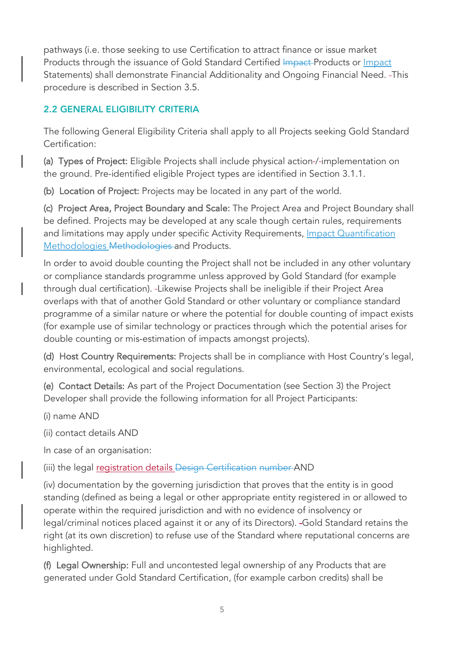pathways (i.e. those seeking to use Certification to attract finance or issue market Products through the issuance of Gold Standard Certified Impact Products or Impact Statements) shall demonstrate Financial Additionality and Ongoing Financial Need. This procedure is described in Section 3.5.

# 2.2 GENERAL ELIGIBILITY CRITERIA

The following General Eligibility Criteria shall apply to all Projects seeking Gold Standard Certification:

(a) Types of Project: Eligible Projects shall include physical action-/-implementation on the ground. Pre-identified eligible Project types are identified in Section 3.1.1.

(b) Location of Project: Projects may be located in any part of the world.

(c) Project Area, Project Boundary and Scale: The Project Area and Project Boundary shall be defined. Projects may be developed at any scale though certain rules, requirements and limitations may apply under specific Activity Requirements, Impact Quantification Methodologies Methodologies and Products.

In order to avoid double counting the Project shall not be included in any other voluntary or compliance standards programme unless approved by Gold Standard (for example through dual certification). Likewise Projects shall be ineligible if their Project Area overlaps with that of another Gold Standard or other voluntary or compliance standard programme of a similar nature or where the potential for double counting of impact exists (for example use of similar technology or practices through which the potential arises for double counting or mis-estimation of impacts amongst projects).

(d) Host Country Requirements: Projects shall be in compliance with Host Country's legal, environmental, ecological and social regulations.

(e) Contact Details: As part of the Project Documentation (see Section 3) the Project Developer shall provide the following information for all Project Participants:

(i) name AND

(ii) contact details AND

In case of an organisation:

(iii) the legal registration details Design Certification number AND

(iv) documentation by the governing jurisdiction that proves that the entity is in good standing (defined as being a legal or other appropriate entity registered in or allowed to operate within the required jurisdiction and with no evidence of insolvency or legal/criminal notices placed against it or any of its Directors). -Gold Standard retains the right (at its own discretion) to refuse use of the Standard where reputational concerns are highlighted.

(f) Legal Ownership: Full and uncontested legal ownership of any Products that are generated under Gold Standard Certification, (for example carbon credits) shall be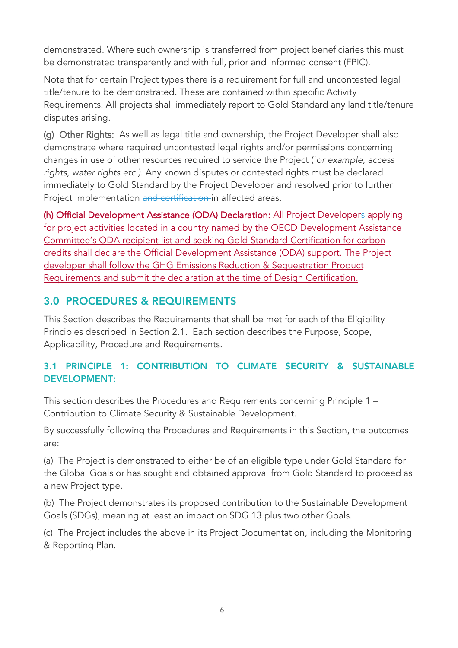demonstrated. Where such ownership is transferred from project beneficiaries this must be demonstrated transparently and with full, prior and informed consent (FPIC).

Note that for certain Project types there is a requirement for full and uncontested legal title/tenure to be demonstrated. These are contained within specific Activity Requirements. All projects shall immediately report to Gold Standard any land title/tenure disputes arising.

(g) Other Rights: As well as legal title and ownership, the Project Developer shall also demonstrate where required uncontested legal rights and/or permissions concerning changes in use of other resources required to service the Project (f*or example, access rights, water rights etc.)*. Any known disputes or contested rights must be declared immediately to Gold Standard by the Project Developer and resolved prior to further Project implementation and certification in affected areas.

(h) Official Development Assistance (ODA) Declaration: All Project Developers applying for project activities located in a country named by the OECD Development Assistance Committee's ODA recipient list and seeking Gold Standard Certification for carbon credits shall declare the Official Development Assistance (ODA) support. The Project developer shall follow the GHG Emissions Reduction & Sequestration Product Requirements and submit the declaration at the time of Design Certification.

# 3.0 PROCEDURES & REQUIREMENTS

This Section describes the Requirements that shall be met for each of the Eligibility Principles described in Section 2.1. Each section describes the Purpose, Scope, Applicability, Procedure and Requirements.

# 3.1 PRINCIPLE 1: CONTRIBUTION TO CLIMATE SECURITY & SUSTAINABLE DEVELOPMENT:

This section describes the Procedures and Requirements concerning Principle 1 – Contribution to Climate Security & Sustainable Development.

By successfully following the Procedures and Requirements in this Section, the outcomes are:

(a) The Project is demonstrated to either be of an eligible type under Gold Standard for the Global Goals or has sought and obtained approval from Gold Standard to proceed as a new Project type.

(b) The Project demonstrates its proposed contribution to the Sustainable Development Goals (SDGs), meaning at least an impact on SDG 13 plus two other Goals.

(c) The Project includes the above in its Project Documentation, including the Monitoring & Reporting Plan.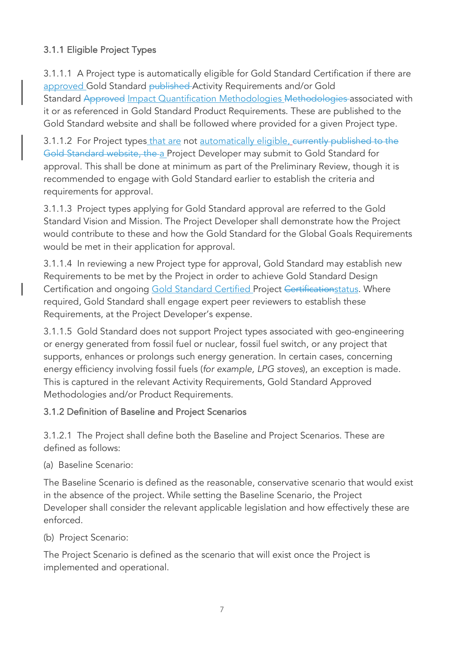# 3.1.1 Eligible Project Types

3.1.1.1 A Project type is automatically eligible for Gold Standard Certification if there are approved Gold Standard published Activity Requirements and/or Gold Standard Approved Impact Quantification Methodologies Methodologies associated with it or as referenced in Gold Standard Product Requirements. These are published to the Gold Standard website and shall be followed where provided for a given Project type.

3.1.1.2 For Project types that are not automatically eligible, eurrently published to the Gold Standard website, the a Project Developer may submit to Gold Standard for approval. This shall be done at minimum as part of the Preliminary Review, though it is recommended to engage with Gold Standard earlier to establish the criteria and requirements for approval.

3.1.1.3 Project types applying for Gold Standard approval are referred to the Gold Standard Vision and Mission. The Project Developer shall demonstrate how the Project would contribute to these and how the Gold Standard for the Global Goals Requirements would be met in their application for approval.

3.1.1.4 In reviewing a new Project type for approval, Gold Standard may establish new Requirements to be met by the Project in order to achieve Gold Standard Design Certification and ongoing Gold Standard Certified Project Certificationstatus. Where required, Gold Standard shall engage expert peer reviewers to establish these Requirements, at the Project Developer's expense.

3.1.1.5 Gold Standard does not support Project types associated with geo-engineering or energy generated from fossil fuel or nuclear, fossil fuel switch, or any project that supports, enhances or prolongs such energy generation. In certain cases, concerning energy efficiency involving fossil fuels (*for example, LPG stoves*), an exception is made. This is captured in the relevant Activity Requirements, Gold Standard Approved Methodologies and/or Product Requirements.

#### 3.1.2 Definition of Baseline and Project Scenarios

3.1.2.1 The Project shall define both the Baseline and Project Scenarios. These are defined as follows:

(a) Baseline Scenario:

The Baseline Scenario is defined as the reasonable, conservative scenario that would exist in the absence of the project. While setting the Baseline Scenario, the Project Developer shall consider the relevant applicable legislation and how effectively these are enforced.

(b) Project Scenario:

The Project Scenario is defined as the scenario that will exist once the Project is implemented and operational.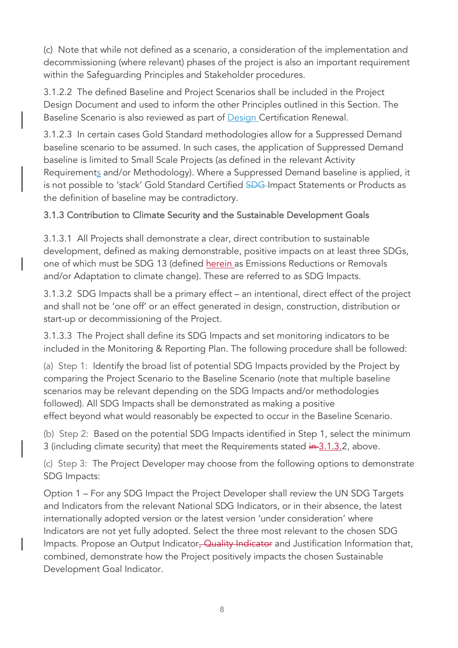(c) Note that while not defined as a scenario, a consideration of the implementation and decommissioning (where relevant) phases of the project is also an important requirement within the Safeguarding Principles and Stakeholder procedures.

3.1.2.2 The defined Baseline and Project Scenarios shall be included in the Project Design Document and used to inform the other Principles outlined in this Section. The Baseline Scenario is also reviewed as part of **Design Certification Renewal**.

3.1.2.3 In certain cases Gold Standard methodologies allow for a Suppressed Demand baseline scenario to be assumed. In such cases, the application of Suppressed Demand baseline is limited to Small Scale Projects (as defined in the relevant Activity Requirements and/or Methodology). Where a Suppressed Demand baseline is applied, it is not possible to 'stack' Gold Standard Certified SDG-Impact Statements or Products as the definition of baseline may be contradictory.

## 3.1.3 Contribution to Climate Security and the Sustainable Development Goals

3.1.3.1 All Projects shall demonstrate a clear, direct contribution to sustainable development, defined as making demonstrable, positive impacts on at least three SDGs, one of which must be SDG 13 (defined herein as Emissions Reductions or Removals and/or Adaptation to climate change). These are referred to as SDG Impacts.

3.1.3.2 SDG Impacts shall be a primary effect – an intentional, direct effect of the project and shall not be 'one off' or an effect generated in design, construction, distribution or start-up or decommissioning of the Project.

3.1.3.3 The Project shall define its SDG Impacts and set monitoring indicators to be included in the Monitoring & Reporting Plan. The following procedure shall be followed:

(a) Step 1: Identify the broad list of potential SDG Impacts provided by the Project by comparing the Project Scenario to the Baseline Scenario (note that multiple baseline scenarios may be relevant depending on the SDG Impacts and/or methodologies followed). All SDG Impacts shall be demonstrated as making a positive effect beyond what would reasonably be expected to occur in the Baseline Scenario.

(b) Step 2: Based on the potential SDG Impacts identified in Step 1, select the minimum 3 (including climate security) that meet the Requirements stated in 3.1.3.2, above.

(c) Step 3: The Project Developer may choose from the following options to demonstrate SDG Impacts:

Option 1 – For any SDG Impact the Project Developer shall review the UN SDG Targets and Indicators from the relevant National SDG Indicators, or in their absence, the latest internationally adopted version or the latest version 'under consideration' where Indicators are not yet fully adopted. Select the three most relevant to the chosen SDG Impacts. Propose an Output Indicator, Quality Indicator and Justification Information that, combined, demonstrate how the Project positively impacts the chosen Sustainable Development Goal Indicator.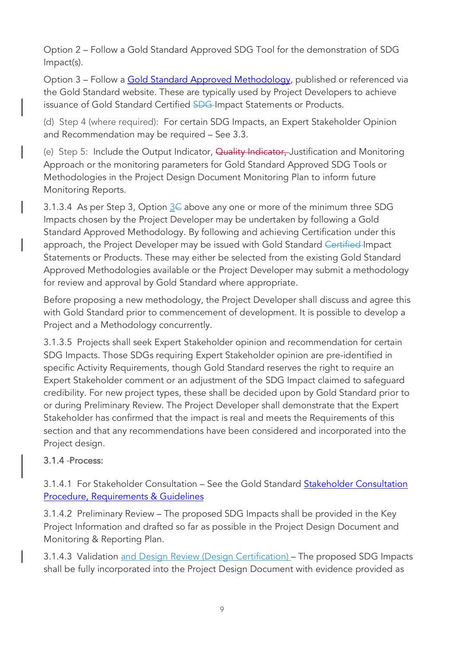Option 2 – Follow a Gold Standard Approved SDG Tool for the demonstration of SDG Impact(s).

Option 3 – Follow a Gold Standard Approved Methodology, published or referenced via the Gold Standard website. These are typically used by Project Developers to achieve issuance of Gold Standard Certified SDG-Impact Statements or Products.

(d) Step 4 (where required): For certain SDG Impacts, an Expert Stakeholder Opinion and Recommendation may be required – See 3.3.

(e) Step 5: Include the Output Indicator, Quality Indicator, Justification and Monitoring Approach or the monitoring parameters for Gold Standard Approved SDG Tools or Methodologies in the Project Design Document Monitoring Plan to inform future Monitoring Reports.

3.1.3.4 As per Step 3, Option  $\underline{3}\in$  above any one or more of the minimum three SDG Impacts chosen by the Project Developer may be undertaken by following a Gold Standard Approved Methodology. By following and achieving Certification under this approach, the Project Developer may be issued with Gold Standard Certified Impact Statements or Products. These may either be selected from the existing Gold Standard Approved Methodologies available or the Project Developer may submit a methodology for review and approval by Gold Standard where appropriate.

Before proposing a new methodology, the Project Developer shall discuss and agree this with Gold Standard prior to commencement of development. It is possible to develop a Project and a Methodology concurrently.

3.1.3.5 Projects shall seek Expert Stakeholder opinion and recommendation for certain SDG Impacts. Those SDGs requiring Expert Stakeholder opinion are pre-identified in specific Activity Requirements, though Gold Standard reserves the right to require an Expert Stakeholder comment or an adjustment of the SDG Impact claimed to safeguard credibility. For new project types, these shall be decided upon by Gold Standard prior to or during Preliminary Review. The Project Developer shall demonstrate that the Expert Stakeholder has confirmed that the impact is real and meets the Requirements of this section and that any recommendations have been considered and incorporated into the Project design.

# 3.1.4 Process:

3.1.4.1 For Stakeholder Consultation – See the Gold Standard Stakeholder Consultation Procedure, Requirements & Guidelines

3.1.4.2 Preliminary Review – The proposed SDG Impacts shall be provided in the Key Project Information and drafted so far as possible in the Project Design Document and Monitoring & Reporting Plan.

3.1.4.3 Validation and Design Review (Design Certification) - The proposed SDG Impacts shall be fully incorporated into the Project Design Document with evidence provided as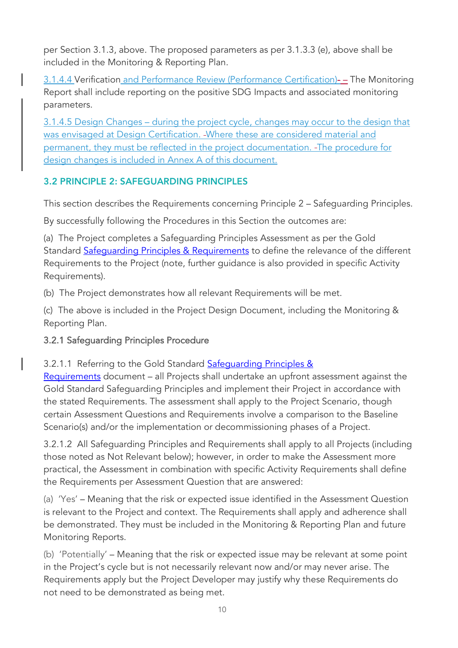per Section 3.1.3, above. The proposed parameters as per 3.1.3.3 (e), above shall be included in the Monitoring & Reporting Plan.

3.1.4.4 Verification and Performance Review (Performance Certification)- – The Monitoring Report shall include reporting on the positive SDG Impacts and associated monitoring parameters.

3.1.4.5 Design Changes – during the project cycle, changes may occur to the design that was envisaged at Design Certification. Where these are considered material and permanent, they must be reflected in the project documentation. - The procedure for design changes is included in Annex A of this document.

# 3.2 PRINCIPLE 2: SAFEGUARDING PRINCIPLES

This section describes the Requirements concerning Principle 2 – Safeguarding Principles.

By successfully following the Procedures in this Section the outcomes are:

(a) The Project completes a Safeguarding Principles Assessment as per the Gold Standard Safequarding Principles & Requirements to define the relevance of the different Requirements to the Project (note, further guidance is also provided in specific Activity Requirements).

(b) The Project demonstrates how all relevant Requirements will be met.

(c) The above is included in the Project Design Document, including the Monitoring & Reporting Plan.

# 3.2.1 Safeguarding Principles Procedure

3.2.1.1 Referring to the Gold Standard Safequarding Principles &

Requirements document – all Projects shall undertake an upfront assessment against the Gold Standard Safeguarding Principles and implement their Project in accordance with the stated Requirements. The assessment shall apply to the Project Scenario, though certain Assessment Questions and Requirements involve a comparison to the Baseline Scenario(s) and/or the implementation or decommissioning phases of a Project.

3.2.1.2 All Safeguarding Principles and Requirements shall apply to all Projects (including those noted as Not Relevant below); however, in order to make the Assessment more practical, the Assessment in combination with specific Activity Requirements shall define the Requirements per Assessment Question that are answered:

(a) 'Yes' – Meaning that the risk or expected issue identified in the Assessment Question is relevant to the Project and context. The Requirements shall apply and adherence shall be demonstrated. They must be included in the Monitoring & Reporting Plan and future Monitoring Reports.

(b) 'Potentially' – Meaning that the risk or expected issue may be relevant at some point in the Project's cycle but is not necessarily relevant now and/or may never arise. The Requirements apply but the Project Developer may justify why these Requirements do not need to be demonstrated as being met.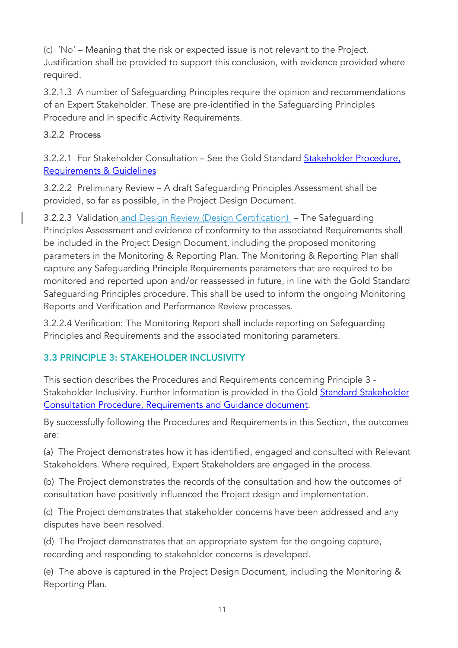(c) 'No' – Meaning that the risk or expected issue is not relevant to the Project. Justification shall be provided to support this conclusion, with evidence provided where required.

3.2.1.3 A number of Safeguarding Principles require the opinion and recommendations of an Expert Stakeholder. These are pre-identified in the Safeguarding Principles Procedure and in specific Activity Requirements.

## 3.2.2 Process

3.2.2.1 For Stakeholder Consultation – See the Gold Standard Stakeholder Procedure, Requirements & Guidelines

3.2.2.2 Preliminary Review – A draft Safeguarding Principles Assessment shall be provided, so far as possible, in the Project Design Document.

3.2.2.3 Validation and Design Review (Design Certification) – The Safeguarding Principles Assessment and evidence of conformity to the associated Requirements shall be included in the Project Design Document, including the proposed monitoring parameters in the Monitoring & Reporting Plan. The Monitoring & Reporting Plan shall capture any Safeguarding Principle Requirements parameters that are required to be monitored and reported upon and/or reassessed in future, in line with the Gold Standard Safeguarding Principles procedure. This shall be used to inform the ongoing Monitoring Reports and Verification and Performance Review processes.

3.2.2.4 Verification: The Monitoring Report shall include reporting on Safeguarding Principles and Requirements and the associated monitoring parameters.

# 3.3 PRINCIPLE 3: STAKEHOLDER INCLUSIVITY

This section describes the Procedures and Requirements concerning Principle 3 - Stakeholder Inclusivity. Further information is provided in the Gold Standard Stakeholder Consultation Procedure, Requirements and Guidance document.

By successfully following the Procedures and Requirements in this Section, the outcomes are:

(a) The Project demonstrates how it has identified, engaged and consulted with Relevant Stakeholders. Where required, Expert Stakeholders are engaged in the process.

(b) The Project demonstrates the records of the consultation and how the outcomes of consultation have positively influenced the Project design and implementation.

(c) The Project demonstrates that stakeholder concerns have been addressed and any disputes have been resolved.

(d) The Project demonstrates that an appropriate system for the ongoing capture, recording and responding to stakeholder concerns is developed.

(e) The above is captured in the Project Design Document, including the Monitoring & Reporting Plan.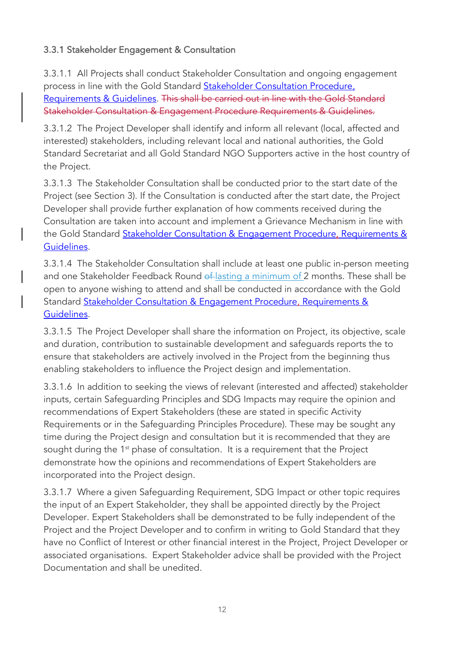# 3.3.1 Stakeholder Engagement & Consultation

3.3.1.1 All Projects shall conduct Stakeholder Consultation and ongoing engagement process in line with the Gold Standard Stakeholder Consultation Procedure, Requirements & Guidelines. This shall be carried out in line with the Gold Standard Stakeholder Consultation & Engagement Procedure Requirements & Guidelines.

3.3.1.2 The Project Developer shall identify and inform all relevant (local, affected and interested) stakeholders, including relevant local and national authorities, the Gold Standard Secretariat and all Gold Standard NGO Supporters active in the host country of the Project.

3.3.1.3 The Stakeholder Consultation shall be conducted prior to the start date of the Project (see Section 3). If the Consultation is conducted after the start date, the Project Developer shall provide further explanation of how comments received during the Consultation are taken into account and implement a Grievance Mechanism in line with the Gold Standard Stakeholder Consultation & Engagement Procedure, Requirements & Guidelines.

3.3.1.4 The Stakeholder Consultation shall include at least one public in-person meeting and one Stakeholder Feedback Round of lasting a minimum of 2 months. These shall be open to anyone wishing to attend and shall be conducted in accordance with the Gold Standard Stakeholder Consultation & Engagement Procedure, Requirements & Guidelines.

3.3.1.5 The Project Developer shall share the information on Project, its objective, scale and duration, contribution to sustainable development and safeguards reports the to ensure that stakeholders are actively involved in the Project from the beginning thus enabling stakeholders to influence the Project design and implementation.

3.3.1.6 In addition to seeking the views of relevant (interested and affected) stakeholder inputs, certain Safeguarding Principles and SDG Impacts may require the opinion and recommendations of Expert Stakeholders (these are stated in specific Activity Requirements or in the Safeguarding Principles Procedure). These may be sought any time during the Project design and consultation but it is recommended that they are sought during the 1<sup>st</sup> phase of consultation. It is a requirement that the Project demonstrate how the opinions and recommendations of Expert Stakeholders are incorporated into the Project design.

3.3.1.7 Where a given Safeguarding Requirement, SDG Impact or other topic requires the input of an Expert Stakeholder, they shall be appointed directly by the Project Developer. Expert Stakeholders shall be demonstrated to be fully independent of the Project and the Project Developer and to confirm in writing to Gold Standard that they have no Conflict of Interest or other financial interest in the Project, Project Developer or associated organisations. Expert Stakeholder advice shall be provided with the Project Documentation and shall be unedited.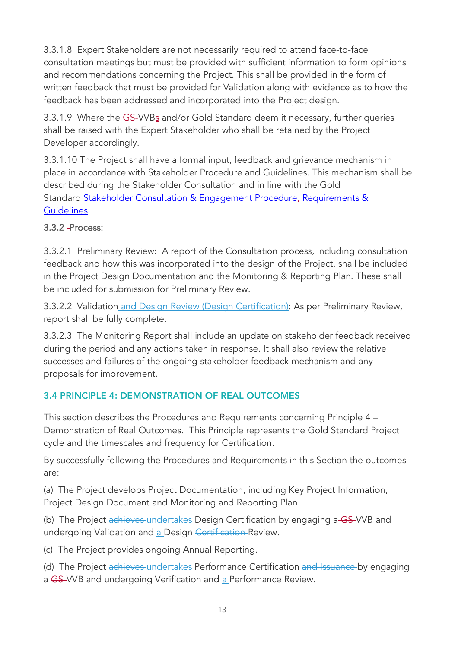3.3.1.8 Expert Stakeholders are not necessarily required to attend face-to-face consultation meetings but must be provided with sufficient information to form opinions and recommendations concerning the Project. This shall be provided in the form of written feedback that must be provided for Validation along with evidence as to how the feedback has been addressed and incorporated into the Project design.

3.3.1.9 Where the GS-VVBs and/or Gold Standard deem it necessary, further queries shall be raised with the Expert Stakeholder who shall be retained by the Project Developer accordingly.

3.3.1.10 The Project shall have a formal input, feedback and grievance mechanism in place in accordance with Stakeholder Procedure and Guidelines. This mechanism shall be described during the Stakeholder Consultation and in line with the Gold Standard Stakeholder Consultation & Engagement Procedure, Requirements & Guidelines.

## 3.3.2 Process:

3.3.2.1 Preliminary Review: A report of the Consultation process, including consultation feedback and how this was incorporated into the design of the Project, shall be included in the Project Design Documentation and the Monitoring & Reporting Plan. These shall be included for submission for Preliminary Review.

3.3.2.2 Validation and Design Review (Design Certification): As per Preliminary Review, report shall be fully complete.

3.3.2.3 The Monitoring Report shall include an update on stakeholder feedback received during the period and any actions taken in response. It shall also review the relative successes and failures of the ongoing stakeholder feedback mechanism and any proposals for improvement.

# 3.4 PRINCIPLE 4: DEMONSTRATION OF REAL OUTCOMES

This section describes the Procedures and Requirements concerning Principle 4 – Demonstration of Real Outcomes. This Principle represents the Gold Standard Project cycle and the timescales and frequency for Certification.

By successfully following the Procedures and Requirements in this Section the outcomes are:

(a) The Project develops Project Documentation, including Key Project Information, Project Design Document and Monitoring and Reporting Plan.

(b) The Project achieves undertakes Design Certification by engaging a GS-VVB and undergoing Validation and a Design Certification Review.

(c) The Project provides ongoing Annual Reporting.

(d) The Project achieves undertakes Performance Certification and Issuance by engaging a GS-WB and undergoing Verification and a Performance Review.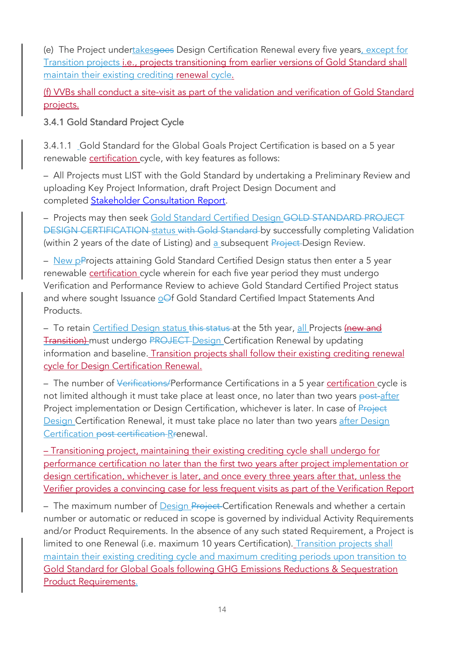(e) The Project undertakesgoes Design Certification Renewal every five years, except for Transition projects i.e., projects transitioning from earlier versions of Gold Standard shall maintain their existing crediting renewal cycle.

(f) VVBs shall conduct a site-visit as part of the validation and verification of Gold Standard projects.

3.4.1 Gold Standard Project Cycle

3.4.1.1 Gold Standard for the Global Goals Project Certification is based on a 5 year renewable certification cycle, with key features as follows:

– All Projects must LIST with the Gold Standard by undertaking a Preliminary Review and uploading Key Project Information, draft Project Design Document and completed Stakeholder Consultation Report.

– Projects may then seek Gold Standard Certified Design GOLD STANDARD PROJECT DESIGN CERTIFICATION status with Gold Standard by successfully completing Validation (within 2 years of the date of Listing) and a subsequent Project-Design Review.

– New pProjects attaining Gold Standard Certified Design status then enter a 5 year renewable certification cycle wherein for each five year period they must undergo Verification and Performance Review to achieve Gold Standard Certified Project status and where sought Issuance oOf Gold Standard Certified Impact Statements And Products.

- To retain Certified Design status this status at the 5th year, all Projects (new and Transition) must undergo PROJECT Design Certification Renewal by updating information and baseline. Transition projects shall follow their existing crediting renewal cycle for Design Certification Renewal.

– The number of Verifications/Performance Certifications in a 5 year certification cycle is not limited although it must take place at least once, no later than two years post-after Project implementation or Design Certification, whichever is later. In case of Project Design Certification Renewal, it must take place no later than two years after Design Certification post certification Rrenewal.

– Transitioning project, maintaining their existing crediting cycle shall undergo for performance certification no later than the first two years after project implementation or design certification, whichever is later, and once every three years after that, unless the Verifier provides a convincing case for less frequent visits as part of the Verification Report

– The maximum number of **Design Project-Certification Renewals and whether a certain** number or automatic or reduced in scope is governed by individual Activity Requirements and/or Product Requirements. In the absence of any such stated Requirement, a Project is limited to one Renewal (i.e. maximum 10 years Certification). Transition projects shall maintain their existing crediting cycle and maximum crediting periods upon transition to Gold Standard for Global Goals following GHG Emissions Reductions & Sequestration Product Requirements.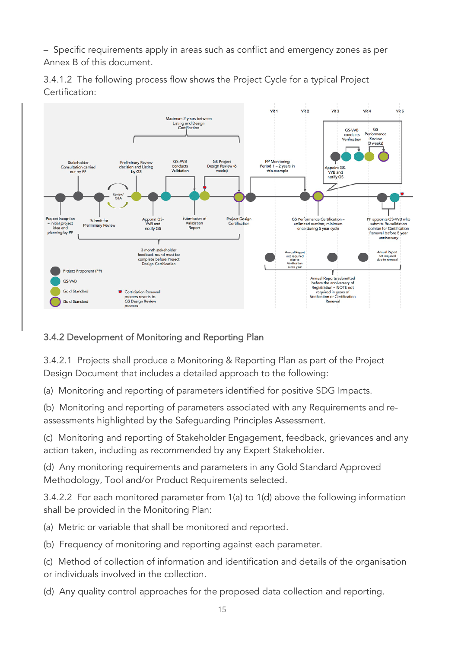– Specific requirements apply in areas such as conflict and emergency zones as per Annex B of this document.





# 3.4.2 Development of Monitoring and Reporting Plan

3.4.2.1 Projects shall produce a Monitoring & Reporting Plan as part of the Project Design Document that includes a detailed approach to the following:

(a) Monitoring and reporting of parameters identified for positive SDG Impacts.

(b) Monitoring and reporting of parameters associated with any Requirements and reassessments highlighted by the Safeguarding Principles Assessment.

(c) Monitoring and reporting of Stakeholder Engagement, feedback, grievances and any action taken, including as recommended by any Expert Stakeholder.

(d) Any monitoring requirements and parameters in any Gold Standard Approved Methodology, Tool and/or Product Requirements selected.

3.4.2.2 For each monitored parameter from 1(a) to 1(d) above the following information shall be provided in the Monitoring Plan:

(a) Metric or variable that shall be monitored and reported.

(b) Frequency of monitoring and reporting against each parameter.

(c) Method of collection of information and identification and details of the organisation or individuals involved in the collection.

(d) Any quality control approaches for the proposed data collection and reporting.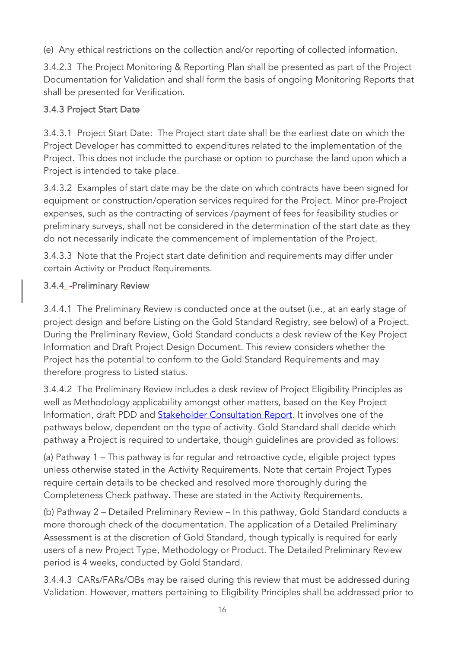(e) Any ethical restrictions on the collection and/or reporting of collected information.

3.4.2.3 The Project Monitoring & Reporting Plan shall be presented as part of the Project Documentation for Validation and shall form the basis of ongoing Monitoring Reports that shall be presented for Verification.

# 3.4.3 Project Start Date

3.4.3.1 Project Start Date: The Project start date shall be the earliest date on which the Project Developer has committed to expenditures related to the implementation of the Project. This does not include the purchase or option to purchase the land upon which a Project is intended to take place.

3.4.3.2 Examples of start date may be the date on which contracts have been signed for equipment or construction/operation services required for the Project. Minor pre-Project expenses, such as the contracting of services /payment of fees for feasibility studies or preliminary surveys, shall not be considered in the determination of the start date as they do not necessarily indicate the commencement of implementation of the Project.

3.4.3.3 Note that the Project start date definition and requirements may differ under certain Activity or Product Requirements.

# 3.4.4\_-Preliminary Review

3.4.4.1 The Preliminary Review is conducted once at the outset (i.e., at an early stage of project design and before Listing on the Gold Standard Registry, see below) of a Project. During the Preliminary Review, Gold Standard conducts a desk review of the Key Project Information and Draft Project Design Document. This review considers whether the Project has the potential to conform to the Gold Standard Requirements and may therefore progress to Listed status.

3.4.4.2 The Preliminary Review includes a desk review of Project Eligibility Principles as well as Methodology applicability amongst other matters, based on the Key Project Information, draft PDD and **Stakeholder Consultation Report**. It involves one of the pathways below, dependent on the type of activity. Gold Standard shall decide which pathway a Project is required to undertake, though guidelines are provided as follows:

(a) Pathway 1 – This pathway is for regular and retroactive cycle, eligible project types unless otherwise stated in the Activity Requirements. Note that certain Project Types require certain details to be checked and resolved more thoroughly during the Completeness Check pathway. These are stated in the Activity Requirements.

(b) Pathway 2 – Detailed Preliminary Review – In this pathway, Gold Standard conducts a more thorough check of the documentation. The application of a Detailed Preliminary Assessment is at the discretion of Gold Standard, though typically is required for early users of a new Project Type, Methodology or Product. The Detailed Preliminary Review period is 4 weeks, conducted by Gold Standard.

3.4.4.3 CARs/FARs/OBs may be raised during this review that must be addressed during Validation. However, matters pertaining to Eligibility Principles shall be addressed prior to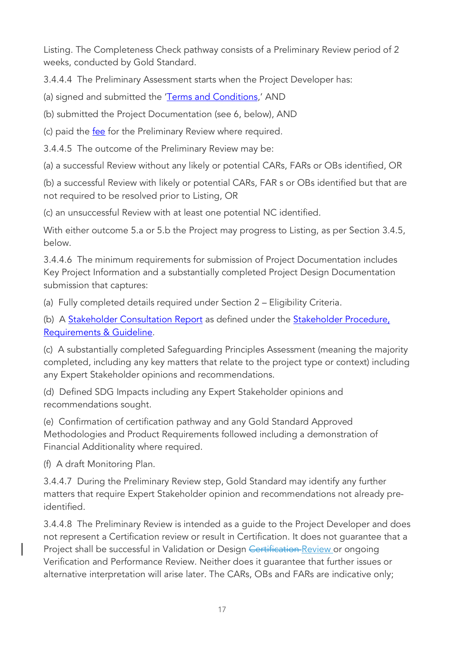Listing. The Completeness Check pathway consists of a Preliminary Review period of 2 weeks, conducted by Gold Standard.

3.4.4.4 The Preliminary Assessment starts when the Project Developer has:

(a) signed and submitted the 'Terms and Conditions,' AND

(b) submitted the Project Documentation (see 6, below), AND

(c) paid the fee for the Preliminary Review where required.

3.4.4.5 The outcome of the Preliminary Review may be:

(a) a successful Review without any likely or potential CARs, FARs or OBs identified, OR

(b) a successful Review with likely or potential CARs, FAR s or OBs identified but that are not required to be resolved prior to Listing, OR

(c) an unsuccessful Review with at least one potential NC identified.

With either outcome 5.a or 5.b the Project may progress to Listing, as per Section 3.4.5, below.

3.4.4.6 The minimum requirements for submission of Project Documentation includes Key Project Information and a substantially completed Project Design Documentation submission that captures:

(a) Fully completed details required under Section 2 – Eligibility Criteria.

(b) A Stakeholder Consultation Report as defined under the Stakeholder Procedure, Requirements & Guideline.

(c) A substantially completed Safeguarding Principles Assessment (meaning the majority completed, including any key matters that relate to the project type or context) including any Expert Stakeholder opinions and recommendations.

(d) Defined SDG Impacts including any Expert Stakeholder opinions and recommendations sought.

(e) Confirmation of certification pathway and any Gold Standard Approved Methodologies and Product Requirements followed including a demonstration of Financial Additionality where required.

(f) A draft Monitoring Plan.

3.4.4.7 During the Preliminary Review step, Gold Standard may identify any further matters that require Expert Stakeholder opinion and recommendations not already preidentified.

3.4.4.8 The Preliminary Review is intended as a guide to the Project Developer and does not represent a Certification review or result in Certification. It does not guarantee that a Project shall be successful in Validation or Design Certification Review or ongoing Verification and Performance Review. Neither does it guarantee that further issues or alternative interpretation will arise later. The CARs, OBs and FARs are indicative only;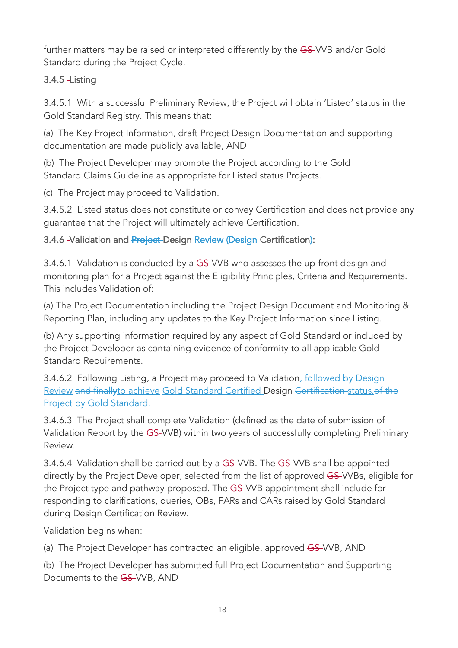further matters may be raised or interpreted differently by the GS-VVB and/or Gold Standard during the Project Cycle.

# 3.4.5 Listing

3.4.5.1 With a successful Preliminary Review, the Project will obtain 'Listed' status in the Gold Standard Registry. This means that:

(a) The Key Project Information, draft Project Design Documentation and supporting documentation are made publicly available, AND

(b) The Project Developer may promote the Project according to the Gold Standard Claims Guideline as appropriate for Listed status Projects.

(c) The Project may proceed to Validation.

3.4.5.2 Listed status does not constitute or convey Certification and does not provide any guarantee that the Project will ultimately achieve Certification.

# 3.4.6 -Validation and Project-Design Review (Design Certification):

3.4.6.1 Validation is conducted by a-GS-VVB who assesses the up-front design and monitoring plan for a Project against the Eligibility Principles, Criteria and Requirements. This includes Validation of:

(a) The Project Documentation including the Project Design Document and Monitoring & Reporting Plan, including any updates to the Key Project Information since Listing.

(b) Any supporting information required by any aspect of Gold Standard or included by the Project Developer as containing evidence of conformity to all applicable Gold Standard Requirements.

3.4.6.2 Following Listing, a Project may proceed to Validation, followed by Design Review and finallyto achieve Gold Standard Certified Design Certification status.of the Project by Gold Standard.

3.4.6.3 The Project shall complete Validation (defined as the date of submission of Validation Report by the GS-VVB) within two years of successfully completing Preliminary Review.

3.4.6.4 Validation shall be carried out by a GS-VVB. The GS-VVB shall be appointed directly by the Project Developer, selected from the list of approved GS-VVBs, eligible for the Project type and pathway proposed. The GS-VVB appointment shall include for responding to clarifications, queries, OBs, FARs and CARs raised by Gold Standard during Design Certification Review.

Validation begins when:

(a) The Project Developer has contracted an eligible, approved GS-VVB, AND

(b) The Project Developer has submitted full Project Documentation and Supporting Documents to the GS-VVB, AND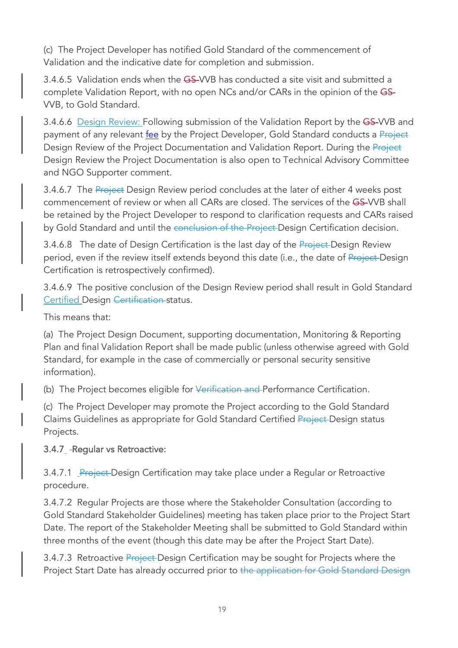(c) The Project Developer has notified Gold Standard of the commencement of Validation and the indicative date for completion and submission.

3.4.6.5 Validation ends when the GS-VVB has conducted a site visit and submitted a complete Validation Report, with no open NCs and/or CARs in the opinion of the GS-VVB, to Gold Standard.

3.4.6.6 Design Review: Following submission of the Validation Report by the GS-VVB and payment of any relevant fee by the Project Developer, Gold Standard conducts a Project Design Review of the Project Documentation and Validation Report. During the Project Design Review the Project Documentation is also open to Technical Advisory Committee and NGO Supporter comment.

3.4.6.7 The Project Design Review period concludes at the later of either 4 weeks post commencement of review or when all CARs are closed. The services of the GS-VVB shall be retained by the Project Developer to respond to clarification requests and CARs raised by Gold Standard and until the conclusion of the Project-Design Certification decision.

3.4.6.8 The date of Design Certification is the last day of the Project-Design Review period, even if the review itself extends beyond this date (i.e., the date of Project-Design Certification is retrospectively confirmed).

3.4.6.9 The positive conclusion of the Design Review period shall result in Gold Standard Certified Design Certification status.

This means that:

(a) The Project Design Document, supporting documentation, Monitoring & Reporting Plan and final Validation Report shall be made public (unless otherwise agreed with Gold Standard, for example in the case of commercially or personal security sensitive information).

(b) The Project becomes eligible for Verification and Performance Certification.

(c) The Project Developer may promote the Project according to the Gold Standard Claims Guidelines as appropriate for Gold Standard Certified Project Design status Projects.

#### 3.4.7 - Regular vs Retroactive:

3.4.7.1 Project-Design Certification may take place under a Regular or Retroactive procedure.

3.4.7.2 Regular Projects are those where the Stakeholder Consultation (according to Gold Standard Stakeholder Guidelines) meeting has taken place prior to the Project Start Date. The report of the Stakeholder Meeting shall be submitted to Gold Standard within three months of the event (though this date may be after the Project Start Date).

3.4.7.3 Retroactive Project-Design Certification may be sought for Projects where the Project Start Date has already occurred prior to the application for Gold Standard Design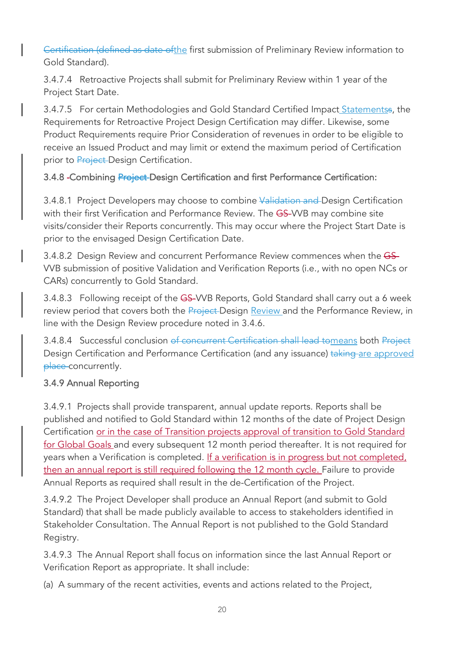Certification (defined as date ofthe first submission of Preliminary Review information to Gold Standard).

3.4.7.4 Retroactive Projects shall submit for Preliminary Review within 1 year of the Project Start Date.

3.4.7.5 For certain Methodologies and Gold Standard Certified Impact Statementss, the Requirements for Retroactive Project Design Certification may differ. Likewise, some Product Requirements require Prior Consideration of revenues in order to be eligible to receive an Issued Product and may limit or extend the maximum period of Certification prior to Project-Design Certification.

3.4.8 - Combining Project-Design Certification and first Performance Certification:

3.4.8.1 Project Developers may choose to combine Validation and Design Certification with their first Verification and Performance Review. The GS-VVB may combine site visits/consider their Reports concurrently. This may occur where the Project Start Date is prior to the envisaged Design Certification Date.

3.4.8.2 Design Review and concurrent Performance Review commences when the GS-VVB submission of positive Validation and Verification Reports (i.e., with no open NCs or CARs) concurrently to Gold Standard.

3.4.8.3 Following receipt of the GS-VVB Reports, Gold Standard shall carry out a 6 week review period that covers both the Project-Design Review and the Performance Review, in line with the Design Review procedure noted in 3.4.6.

3.4.8.4 Successful conclusion of concurrent Certification shall lead tomeans both Project Design Certification and Performance Certification (and any issuance) taking are approved place concurrently.

# 3.4.9 Annual Reporting

3.4.9.1 Projects shall provide transparent, annual update reports. Reports shall be published and notified to Gold Standard within 12 months of the date of Project Design Certification or in the case of Transition projects approval of transition to Gold Standard for Global Goals and every subsequent 12 month period thereafter. It is not required for years when a Verification is completed. If a verification is in progress but not completed, then an annual report is still required following the 12 month cycle. Failure to provide Annual Reports as required shall result in the de-Certification of the Project.

3.4.9.2 The Project Developer shall produce an Annual Report (and submit to Gold Standard) that shall be made publicly available to access to stakeholders identified in Stakeholder Consultation. The Annual Report is not published to the Gold Standard Registry.

3.4.9.3 The Annual Report shall focus on information since the last Annual Report or Verification Report as appropriate. It shall include:

(a) A summary of the recent activities, events and actions related to the Project,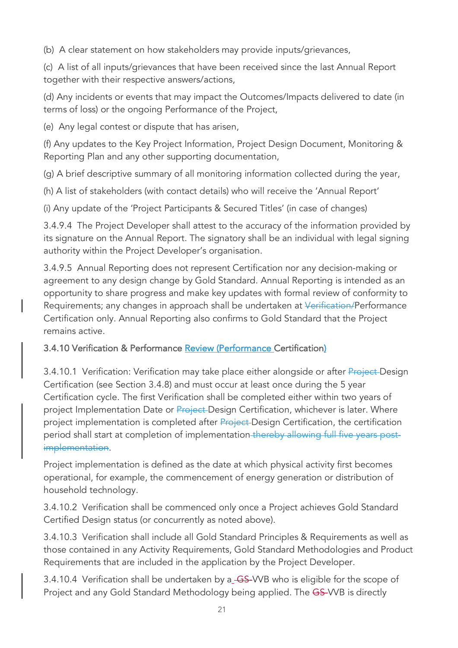(b) A clear statement on how stakeholders may provide inputs/grievances,

(c) A list of all inputs/grievances that have been received since the last Annual Report together with their respective answers/actions,

(d) Any incidents or events that may impact the Outcomes/Impacts delivered to date (in terms of loss) or the ongoing Performance of the Project,

(e) Any legal contest or dispute that has arisen,

(f) Any updates to the Key Project Information, Project Design Document, Monitoring & Reporting Plan and any other supporting documentation,

(g) A brief descriptive summary of all monitoring information collected during the year,

(h) A list of stakeholders (with contact details) who will receive the 'Annual Report'

(i) Any update of the 'Project Participants & Secured Titles' (in case of changes)

3.4.9.4 The Project Developer shall attest to the accuracy of the information provided by its signature on the Annual Report. The signatory shall be an individual with legal signing authority within the Project Developer's organisation.

3.4.9.5 Annual Reporting does not represent Certification nor any decision-making or agreement to any design change by Gold Standard. Annual Reporting is intended as an opportunity to share progress and make key updates with formal review of conformity to Requirements; any changes in approach shall be undertaken at Verification/Performance Certification only. Annual Reporting also confirms to Gold Standard that the Project remains active.

# 3.4.10 Verification & Performance Review (Performance Certification)

3.4.10.1 Verification: Verification may take place either alongside or after Project-Design Certification (see Section 3.4.8) and must occur at least once during the 5 year Certification cycle. The first Verification shall be completed either within two years of project Implementation Date or Project-Design Certification, whichever is later. Where project implementation is completed after **Project** Design Certification, the certification period shall start at completion of implementation thereby allowing full five years postimplementation.

Project implementation is defined as the date at which physical activity first becomes operational, for example, the commencement of energy generation or distribution of household technology.

3.4.10.2 Verification shall be commenced only once a Project achieves Gold Standard Certified Design status (or concurrently as noted above).

3.4.10.3 Verification shall include all Gold Standard Principles & Requirements as well as those contained in any Activity Requirements, Gold Standard Methodologies and Product Requirements that are included in the application by the Project Developer.

3.4.10.4 Verification shall be undertaken by a GS-VVB who is eligible for the scope of Project and any Gold Standard Methodology being applied. The GS-VVB is directly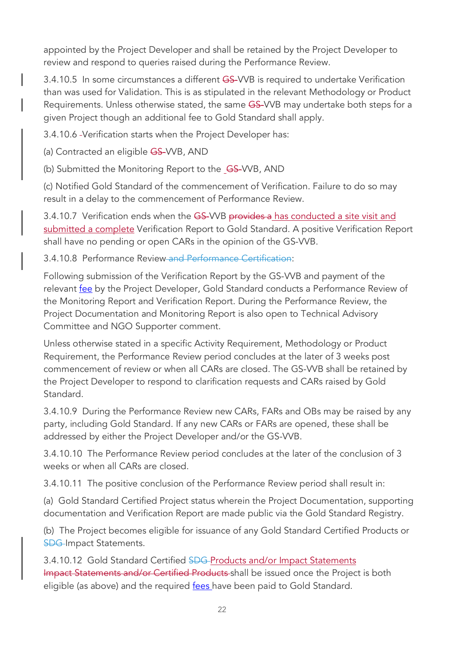appointed by the Project Developer and shall be retained by the Project Developer to review and respond to queries raised during the Performance Review.

3.4.10.5 In some circumstances a different GS-VVB is required to undertake Verification than was used for Validation. This is as stipulated in the relevant Methodology or Product Requirements. Unless otherwise stated, the same GS-VVB may undertake both steps for a given Project though an additional fee to Gold Standard shall apply.

3.4.10.6 Verification starts when the Project Developer has:

(a) Contracted an eligible GS-VVB, AND

(b) Submitted the Monitoring Report to the GS-VVB, AND

(c) Notified Gold Standard of the commencement of Verification. Failure to do so may result in a delay to the commencement of Performance Review.

3.4.10.7 Verification ends when the GS-VVB provides a has conducted a site visit and submitted a complete Verification Report to Gold Standard. A positive Verification Report shall have no pending or open CARs in the opinion of the GS-VVB.

3.4.10.8 Performance Review and Performance Certification:

Following submission of the Verification Report by the GS-VVB and payment of the relevant fee by the Project Developer, Gold Standard conducts a Performance Review of the Monitoring Report and Verification Report. During the Performance Review, the Project Documentation and Monitoring Report is also open to Technical Advisory Committee and NGO Supporter comment.

Unless otherwise stated in a specific Activity Requirement, Methodology or Product Requirement, the Performance Review period concludes at the later of 3 weeks post commencement of review or when all CARs are closed. The GS-VVB shall be retained by the Project Developer to respond to clarification requests and CARs raised by Gold Standard.

3.4.10.9 During the Performance Review new CARs, FARs and OBs may be raised by any party, including Gold Standard. If any new CARs or FARs are opened, these shall be addressed by either the Project Developer and/or the GS-VVB.

3.4.10.10 The Performance Review period concludes at the later of the conclusion of 3 weeks or when all CARs are closed.

3.4.10.11 The positive conclusion of the Performance Review period shall result in:

(a) Gold Standard Certified Project status wherein the Project Documentation, supporting documentation and Verification Report are made public via the Gold Standard Registry.

(b) The Project becomes eligible for issuance of any Gold Standard Certified Products or **SDG-Impact Statements.** 

3.4.10.12 Gold Standard Certified SDG-Products and/or Impact Statements Impact Statements and/or Certified Products shall be issued once the Project is both eligible (as above) and the required fees have been paid to Gold Standard.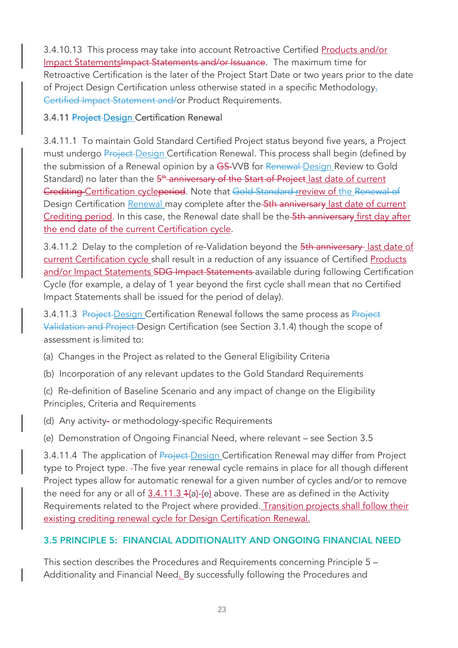3.4.10.13 This process may take into account Retroactive Certified Products and/or Impact Statements Impact Statements and/or Issuance. The maximum time for Retroactive Certification is the later of the Project Start Date or two years prior to the date of Project Design Certification unless otherwise stated in a specific Methodology, Certified Impact Statement and/or Product Requirements.

## 3.4.11 Project-Design Certification Renewal

3.4.11.1 To maintain Gold Standard Certified Project status beyond five years, a Project must undergo Project Design Certification Renewal. This process shall begin (defined by the submission of a Renewal opinion by a GS-VVB for Renewal Design Review to Gold Standard) no later than the 5<sup>th</sup> anniversary of the Start of Project last date of current Crediting Certification cycleperiod. Note that Gold Standard rreview of the Renewal of Design Certification Renewal may complete after the 5th anniversary last date of current Crediting period. In this case, the Renewal date shall be the 5th anniversary first day after the end date of the current Certification cycle.

3.4.11.2 Delay to the completion of re-Validation beyond the 5th anniversary last date of current Certification cycle shall result in a reduction of any issuance of Certified Products and/or Impact Statements SDG Impact Statements available during following Certification Cycle (for example, a delay of 1 year beyond the first cycle shall mean that no Certified Impact Statements shall be issued for the period of delay).

3.4.11.3 Project Design Certification Renewal follows the same process as Project Validation and Project Design Certification (see Section 3.1.4) though the scope of assessment is limited to:

(a) Changes in the Project as related to the General Eligibility Criteria

(b) Incorporation of any relevant updates to the Gold Standard Requirements

(c) Re-definition of Baseline Scenario and any impact of change on the Eligibility Principles, Criteria and Requirements

(d) Any activity- or methodology-specific Requirements

(e) Demonstration of Ongoing Financial Need, where relevant – see Section 3.5

3.4.11.4 The application of **Project-Design Certification Renewal may differ from Project** type to Project type. The five year renewal cycle remains in place for all though different Project types allow for automatic renewal for a given number of cycles and/or to remove the need for any or all of 3.4.11.3 4(a)-(e) above. These are as defined in the Activity Requirements related to the Project where provided. Transition projects shall follow their existing crediting renewal cycle for Design Certification Renewal.

# 3.5 PRINCIPLE 5: FINANCIAL ADDITIONALITY AND ONGOING FINANCIAL NEED

This section describes the Procedures and Requirements concerning Principle 5 – Additionality and Financial Need. By successfully following the Procedures and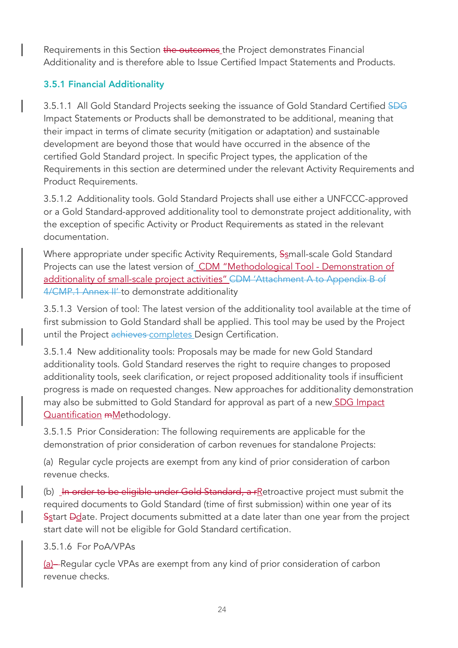Requirements in this Section the outcomes the Project demonstrates Financial Additionality and is therefore able to Issue Certified Impact Statements and Products.

## 3.5.1 Financial Additionality

3.5.1.1 All Gold Standard Projects seeking the issuance of Gold Standard Certified SDG Impact Statements or Products shall be demonstrated to be additional, meaning that their impact in terms of climate security (mitigation or adaptation) and sustainable development are beyond those that would have occurred in the absence of the certified Gold Standard project. In specific Project types, the application of the Requirements in this section are determined under the relevant Activity Requirements and Product Requirements.

3.5.1.2 Additionality tools. Gold Standard Projects shall use either a UNFCCC-approved or a Gold Standard-approved additionality tool to demonstrate project additionality, with the exception of specific Activity or Product Requirements as stated in the relevant documentation.

Where appropriate under specific Activity Requirements, Ssmall-scale Gold Standard Projects can use the latest version of CDM "Methodological Tool - Demonstration of additionality of small-scale project activities" CDM 'Attachment A to Appendix B of 4/CMP.1 Annex II' to demonstrate additionality

3.5.1.3 Version of tool: The latest version of the additionality tool available at the time of first submission to Gold Standard shall be applied. This tool may be used by the Project until the Project achieves completes Design Certification.

3.5.1.4 New additionality tools: Proposals may be made for new Gold Standard additionality tools. Gold Standard reserves the right to require changes to proposed additionality tools, seek clarification, or reject proposed additionality tools if insufficient progress is made on requested changes. New approaches for additionality demonstration may also be submitted to Gold Standard for approval as part of a new SDG Impact Quantification mMethodology.

3.5.1.5 Prior Consideration: The following requirements are applicable for the demonstration of prior consideration of carbon revenues for standalone Projects:

(a) Regular cycle projects are exempt from any kind of prior consideration of carbon revenue checks.

(b) In order to be eligible under Gold Standard,  $a$   $r$  Retroactive project must submit the required documents to Gold Standard (time of first submission) within one year of its Sstart Ddate. Project documents submitted at a date later than one year from the project start date will not be eligible for Gold Standard certification.

#### 3.5.1.6 For PoA/VPAs

(a)– Regular cycle VPAs are exempt from any kind of prior consideration of carbon revenue checks.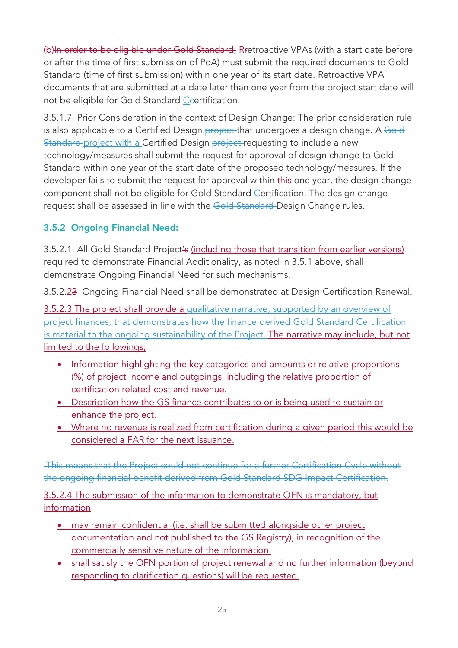(b)In order to be eligible under Gold Standard, Rretroactive VPAs (with a start date before or after the time of first submission of PoA) must submit the required documents to Gold Standard (time of first submission) within one year of its start date. Retroactive VPA documents that are submitted at a date later than one year from the project start date will not be eligible for Gold Standard Ceertification.

3.5.1.7 Prior Consideration in the context of Design Change: The prior consideration rule is also applicable to a Certified Design project that undergoes a design change. A Gold Standard project with a Certified Design project requesting to include a new technology/measures shall submit the request for approval of design change to Gold Standard within one year of the start date of the proposed technology/measures. If the developer fails to submit the request for approval within this one year, the design change component shall not be eligible for Gold Standard Certification. The design change request shall be assessed in line with the Gold Standard Design Change rules.

# 3.5.2 Ongoing Financial Need:

3.5.2.1 All Gold Standard Project's (including those that transition from earlier versions) required to demonstrate Financial Additionality, as noted in 3.5.1 above, shall demonstrate Ongoing Financial Need for such mechanisms.

3.5.2.23 Ongoing Financial Need shall be demonstrated at Design Certification Renewal.

3.5.2.3 The project shall provide a qualitative narrative, supported by an overview of project finances, that demonstrates how the finance derived Gold Standard Certification is material to the ongoing sustainability of the Project. The narrative may include, but not limited to the followings;

- Information highlighting the key categories and amounts or relative proportions (%) of project income and outgoings, including the relative proportion of certification related cost and revenue.
- Description how the GS finance contributes to or is being used to sustain or enhance the project.
- Where no revenue is realized from certification during a given period this would be considered a FAR for the next Issuance.

This means that the Project could not continue for a further Certification Cycle without the ongoing financial benefit derived from Gold Standard SDG Impact Certification.

3.5.2.4 The submission of the information to demonstrate OFN is mandatory, but information

- may remain confidential (i.e. shall be submitted alongside other project documentation and not published to the GS Registry), in recognition of the commercially sensitive nature of the information.
- shall satisfy the OFN portion of project renewal and no further information (beyond responding to clarification questions) will be requested.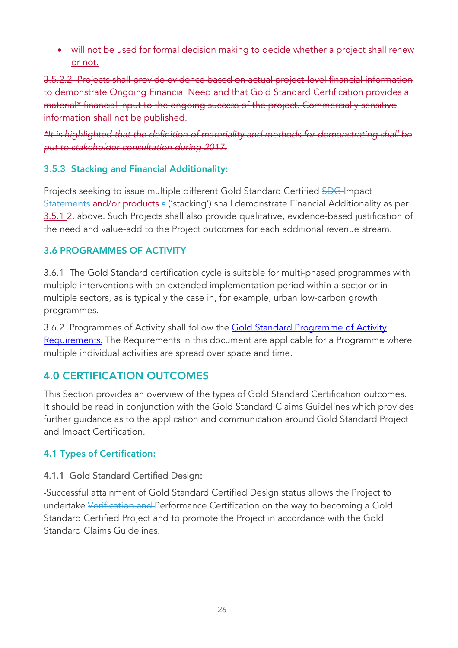• will not be used for formal decision making to decide whether a project shall renew or not.

3.5.2.2 Projects shall provide evidence based on actual project-level financial information to demonstrate Ongoing Financial Need and that Gold Standard Certification provides a material\* financial input to the ongoing success of the project. Commercially sensitive information shall not be published.

*\*It is highlighted that the definition of materiality and methods for demonstrating shall be put to stakeholder consultation during 2017.*

## 3.5.3 Stacking and Financial Additionality:

Projects seeking to issue multiple different Gold Standard Certified SDG-Impact Statements and/or products s ('stacking') shall demonstrate Financial Additionality as per 3.5.1 2, above. Such Projects shall also provide qualitative, evidence-based justification of the need and value-add to the Project outcomes for each additional revenue stream.

## 3.6 PROGRAMMES OF ACTIVITY

3.6.1 The Gold Standard certification cycle is suitable for multi-phased programmes with multiple interventions with an extended implementation period within a sector or in multiple sectors, as is typically the case in, for example, urban low-carbon growth programmes.

3.6.2 Programmes of Activity shall follow the Gold Standard Programme of Activity Requirements. The Requirements in this document are applicable for a Programme where multiple individual activities are spread over space and time.

# 4.0 CERTIFICATION OUTCOMES

This Section provides an overview of the types of Gold Standard Certification outcomes. It should be read in conjunction with the Gold Standard Claims Guidelines which provides further guidance as to the application and communication around Gold Standard Project and Impact Certification.

# 4.1 Types of Certification:

# 4.1.1 Gold Standard Certified Design:

Successful attainment of Gold Standard Certified Design status allows the Project to undertake Verification and Performance Certification on the way to becoming a Gold Standard Certified Project and to promote the Project in accordance with the Gold Standard Claims Guidelines.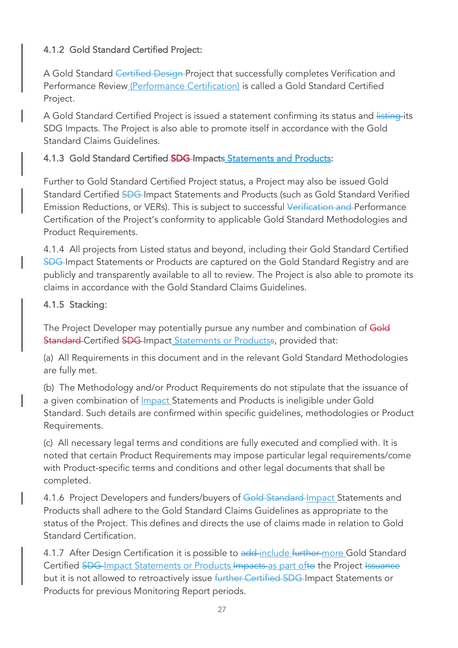# 4.1.2 Gold Standard Certified Project:

A Gold Standard Certified Design Project that successfully completes Verification and Performance Review (Performance Certification) is called a Gold Standard Certified Project.

A Gold Standard Certified Project is issued a statement confirming its status and listing its SDG Impacts. The Project is also able to promote itself in accordance with the Gold Standard Claims Guidelines.

## 4.1.3 Gold Standard Certified SDG-Impacts Statements and Products:

Further to Gold Standard Certified Project status, a Project may also be issued Gold Standard Certified SDG-Impact Statements and Products (such as Gold Standard Verified Emission Reductions, or VERs). This is subject to successful Verification and Performance Certification of the Project's conformity to applicable Gold Standard Methodologies and Product Requirements.

4.1.4 All projects from Listed status and beyond, including their Gold Standard Certified SDG Impact Statements or Products are captured on the Gold Standard Registry and are publicly and transparently available to all to review. The Project is also able to promote its claims in accordance with the Gold Standard Claims Guidelines.

#### 4.1.5 Stacking:

The Project Developer may potentially pursue any number and combination of Gold Standard Certified SDG-Impact Statements or Productss, provided that:

(a) All Requirements in this document and in the relevant Gold Standard Methodologies are fully met.

(b) The Methodology and/or Product Requirements do not stipulate that the issuance of a given combination of *Impact* Statements and Products is ineligible under Gold Standard. Such details are confirmed within specific guidelines, methodologies or Product Requirements.

(c) All necessary legal terms and conditions are fully executed and complied with. It is noted that certain Product Requirements may impose particular legal requirements/come with Product-specific terms and conditions and other legal documents that shall be completed.

4.1.6 Project Developers and funders/buyers of Gold Standard-Impact Statements and Products shall adhere to the Gold Standard Claims Guidelines as appropriate to the status of the Project. This defines and directs the use of claims made in relation to Gold Standard Certification.

4.1.7 After Design Certification it is possible to add-include further more Gold Standard Certified SDG-Impact Statements or Products Impacts as part ofto the Project Issuance but it is not allowed to retroactively issue further Certified SDG Impact Statements or Products for previous Monitoring Report periods.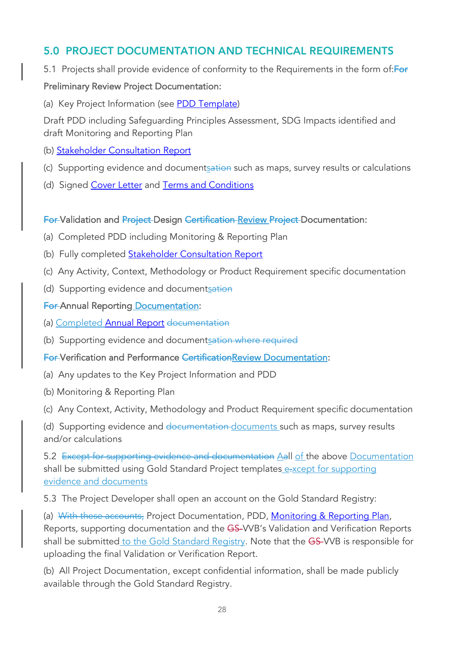# 5.0 PROJECT DOCUMENTATION AND TECHNICAL REQUIREMENTS

5.1 Projects shall provide evidence of conformity to the Requirements in the form of: For

#### Preliminary Review Project Documentation:

(a) Key Project Information (see PDD Template)

Draft PDD including Safeguarding Principles Assessment, SDG Impacts identified and draft Monitoring and Reporting Plan

- (b) Stakeholder Consultation Report
- (c) Supporting evidence and documentsation such as maps, survey results or calculations
- (d) Signed Cover Letter and Terms and Conditions

#### For Validation and Project Design Certification Review Project Documentation:

- (a) Completed PDD including Monitoring & Reporting Plan
- (b) Fully completed **Stakeholder Consultation Report**
- (c) Any Activity, Context, Methodology or Product Requirement specific documentation
- (d) Supporting evidence and documentsation

#### **For-Annual Reporting Documentation:**

- (a) Completed Annual Report documentation
- (b) Supporting evidence and documentsation where required

#### For Verification and Performance CertificationReview Documentation:

- (a) Any updates to the Key Project Information and PDD
- (b) Monitoring & Reporting Plan
- (c) Any Context, Activity, Methodology and Product Requirement specific documentation

(d) Supporting evidence and documentation documents such as maps, survey results and/or calculations

5.2 Except for supporting evidence and documentation Aall of the above Documentation shall be submitted using Gold Standard Project templates e-xcept for supporting evidence and documents

5.3 The Project Developer shall open an account on the Gold Standard Registry:

(a) With these accounts, Project Documentation, PDD, Monitoring & Reporting Plan, Reports, supporting documentation and the GS-VVB's Validation and Verification Reports shall be submitted to the Gold Standard Registry. Note that the GS-VVB is responsible for uploading the final Validation or Verification Report.

(b) All Project Documentation, except confidential information, shall be made publicly available through the Gold Standard Registry.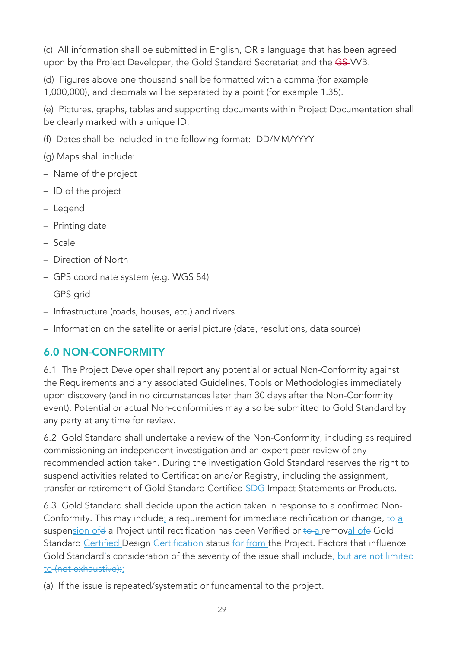(c) All information shall be submitted in English, OR a language that has been agreed upon by the Project Developer, the Gold Standard Secretariat and the GS-VVB.

(d) Figures above one thousand shall be formatted with a comma (for example 1,000,000), and decimals will be separated by a point (for example 1.35).

(e) Pictures, graphs, tables and supporting documents within Project Documentation shall be clearly marked with a unique ID.

(f) Dates shall be included in the following format: DD/MM/YYYY

(g) Maps shall include:

- Name of the project
- ID of the project
- Legend
- Printing date
- Scale
- Direction of North
- GPS coordinate system (e.g. WGS 84)
- GPS grid
- Infrastructure (roads, houses, etc.) and rivers
- Information on the satellite or aerial picture (date, resolutions, data source)

# 6.0 NON-CONFORMITY

6.1 The Project Developer shall report any potential or actual Non-Conformity against the Requirements and any associated Guidelines, Tools or Methodologies immediately upon discovery (and in no circumstances later than 30 days after the Non-Conformity event). Potential or actual Non-conformities may also be submitted to Gold Standard by any party at any time for review.

6.2 Gold Standard shall undertake a review of the Non-Conformity, including as required commissioning an independent investigation and an expert peer review of any recommended action taken. During the investigation Gold Standard reserves the right to suspend activities related to Certification and/or Registry, including the assignment, transfer or retirement of Gold Standard Certified SDG-Impact Statements or Products.

6.3 Gold Standard shall decide upon the action taken in response to a confirmed Non-Conformity. This may include; a requirement for immediate rectification or change,  $\frac{1}{2}$ suspension of e a Project until rectification has been Verified or to a removal of eGold Standard Certified Design Certification status for from the Project. Factors that influence Gold Standard's consideration of the severity of the issue shall include, but are not limited to (not exhaustive):

(a) If the issue is repeated/systematic or fundamental to the project.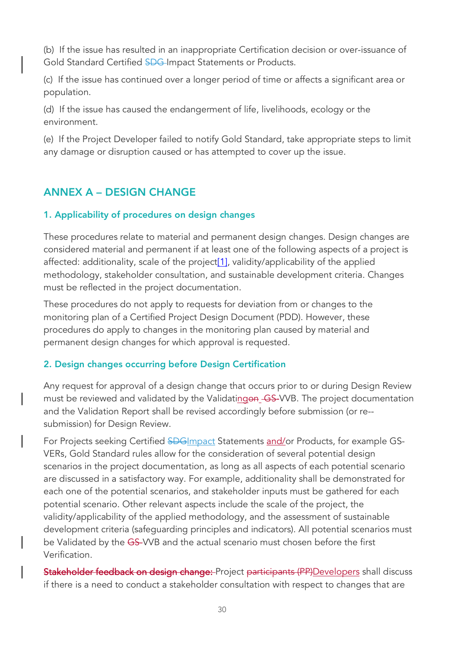(b) If the issue has resulted in an inappropriate Certification decision or over-issuance of Gold Standard Certified SDG Impact Statements or Products.

(c) If the issue has continued over a longer period of time or affects a significant area or population.

(d) If the issue has caused the endangerment of life, livelihoods, ecology or the environment.

(e) If the Project Developer failed to notify Gold Standard, take appropriate steps to limit any damage or disruption caused or has attempted to cover up the issue.

# ANNEX A – DESIGN CHANGE

#### 1. Applicability of procedures on design changes

These procedures relate to material and permanent design changes. Design changes are considered material and permanent if at least one of the following aspects of a project is affected: additionality, scale of the project $[1]$ , validity/applicability of the applied methodology, stakeholder consultation, and sustainable development criteria. Changes must be reflected in the project documentation.

These procedures do not apply to requests for deviation from or changes to the monitoring plan of a Certified Project Design Document (PDD). However, these procedures do apply to changes in the monitoring plan caused by material and permanent design changes for which approval is requested.

#### 2. Design changes occurring before Design Certification

Any request for approval of a design change that occurs prior to or during Design Review must be reviewed and validated by the Validatingon GS-VVB. The project documentation and the Validation Report shall be revised accordingly before submission (or re- submission) for Design Review.

For Projects seeking Certified SDGImpact Statements and/or Products, for example GS-VERs, Gold Standard rules allow for the consideration of several potential design scenarios in the project documentation, as long as all aspects of each potential scenario are discussed in a satisfactory way. For example, additionality shall be demonstrated for each one of the potential scenarios, and stakeholder inputs must be gathered for each potential scenario. Other relevant aspects include the scale of the project, the validity/applicability of the applied methodology, and the assessment of sustainable development criteria (safeguarding principles and indicators). All potential scenarios must be Validated by the GS-VVB and the actual scenario must chosen before the first Verification.

Stakeholder feedback on design change: Project participants (PP)Developers shall discuss if there is a need to conduct a stakeholder consultation with respect to changes that are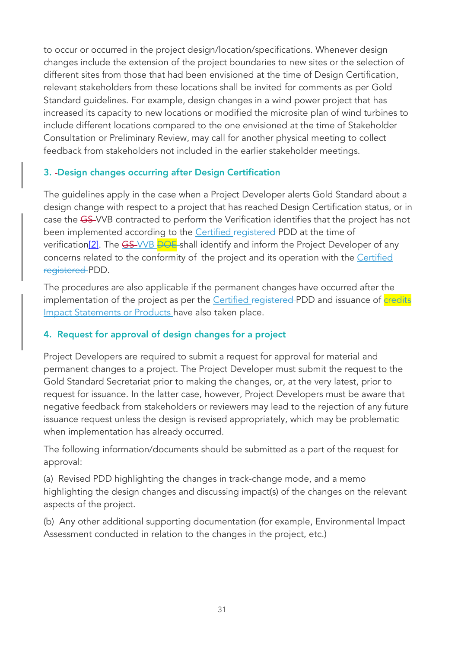to occur or occurred in the project design/location/specifications. Whenever design changes include the extension of the project boundaries to new sites or the selection of different sites from those that had been envisioned at the time of Design Certification, relevant stakeholders from these locations shall be invited for comments as per Gold Standard guidelines. For example, design changes in a wind power project that has increased its capacity to new locations or modified the microsite plan of wind turbines to include different locations compared to the one envisioned at the time of Stakeholder Consultation or Preliminary Review, may call for another physical meeting to collect feedback from stakeholders not included in the earlier stakeholder meetings.

#### 3. Design changes occurring after Design Certification

The guidelines apply in the case when a Project Developer alerts Gold Standard about a design change with respect to a project that has reached Design Certification status, or in case the GS-VVB contracted to perform the Verification identifies that the project has not been implemented according to the Certified registered PDD at the time of verification<sup>[2]</sup>. The  $\overline{GS}$ -VVB  $\overline{BOE}$ -shall identify and inform the Project Developer of any concerns related to the conformity of the project and its operation with the Certified registered PDD.

The procedures are also applicable if the permanent changes have occurred after the implementation of the project as per the Certified registered PDD and issuance of credits Impact Statements or Products have also taken place.

#### 4. Request for approval of design changes for a project

Project Developers are required to submit a request for approval for material and permanent changes to a project. The Project Developer must submit the request to the Gold Standard Secretariat prior to making the changes, or, at the very latest, prior to request for issuance. In the latter case, however, Project Developers must be aware that negative feedback from stakeholders or reviewers may lead to the rejection of any future issuance request unless the design is revised appropriately, which may be problematic when implementation has already occurred.

The following information/documents should be submitted as a part of the request for approval:

(a) Revised PDD highlighting the changes in track-change mode, and a memo highlighting the design changes and discussing impact(s) of the changes on the relevant aspects of the project.

(b) Any other additional supporting documentation (for example, Environmental Impact Assessment conducted in relation to the changes in the project, etc.)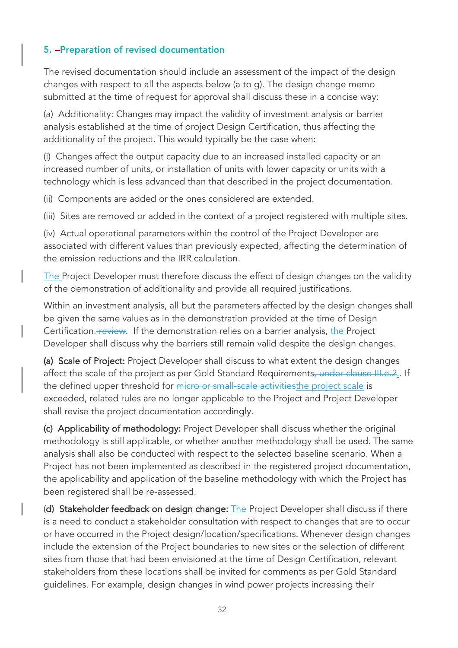## 5. **-Preparation of revised documentation**

The revised documentation should include an assessment of the impact of the design changes with respect to all the aspects below (a to g). The design change memo submitted at the time of request for approval shall discuss these in a concise way:

(a) Additionality: Changes may impact the validity of investment analysis or barrier analysis established at the time of project Design Certification, thus affecting the additionality of the project. This would typically be the case when:

(i) Changes affect the output capacity due to an increased installed capacity or an increased number of units, or installation of units with lower capacity or units with a technology which is less advanced than that described in the project documentation.

(ii) Components are added or the ones considered are extended.

(iii) Sites are removed or added in the context of a project registered with multiple sites.

(iv) Actual operational parameters within the control of the Project Developer are associated with different values than previously expected, affecting the determination of the emission reductions and the IRR calculation.

The Project Developer must therefore discuss the effect of design changes on the validity of the demonstration of additionality and provide all required justifications.

Within an investment analysis, all but the parameters affected by the design changes shall be given the same values as in the demonstration provided at the time of Design Certification. **Feview.** If the demonstration relies on a barrier analysis, the Project Developer shall discuss why the barriers still remain valid despite the design changes.

(a) Scale of Project: Project Developer shall discuss to what extent the design changes affect the scale of the project as per Gold Standard Requirements, under clause III.e.2.. If the defined upper threshold for micro or small-scale activitiesthe project scale is exceeded, related rules are no longer applicable to the Project and Project Developer shall revise the project documentation accordingly.

(c) Applicability of methodology: Project Developer shall discuss whether the original methodology is still applicable, or whether another methodology shall be used. The same analysis shall also be conducted with respect to the selected baseline scenario. When a Project has not been implemented as described in the registered project documentation, the applicability and application of the baseline methodology with which the Project has been registered shall be re-assessed.

(d) Stakeholder feedback on design change: The Project Developer shall discuss if there is a need to conduct a stakeholder consultation with respect to changes that are to occur or have occurred in the Project design/location/specifications. Whenever design changes include the extension of the Project boundaries to new sites or the selection of different sites from those that had been envisioned at the time of Design Certification, relevant stakeholders from these locations shall be invited for comments as per Gold Standard guidelines. For example, design changes in wind power projects increasing their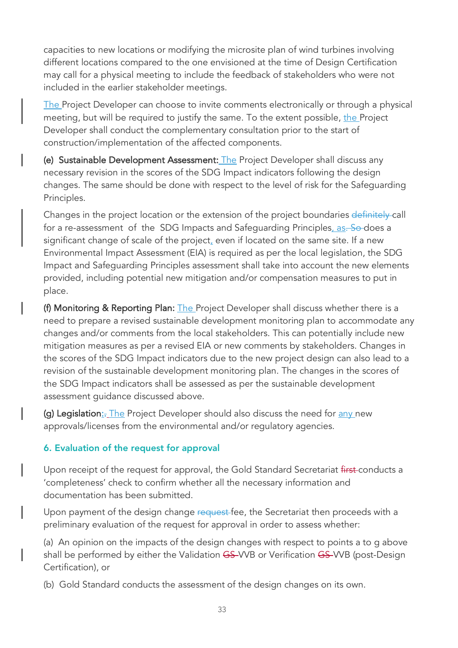capacities to new locations or modifying the microsite plan of wind turbines involving different locations compared to the one envisioned at the time of Design Certification may call for a physical meeting to include the feedback of stakeholders who were not included in the earlier stakeholder meetings.

The Project Developer can choose to invite comments electronically or through a physical meeting, but will be required to justify the same. To the extent possible, the Project Developer shall conduct the complementary consultation prior to the start of construction/implementation of the affected components.

(e) Sustainable Development Assessment: The Project Developer shall discuss any necessary revision in the scores of the SDG Impact indicators following the design changes. The same should be done with respect to the level of risk for the Safeguarding Principles.

Changes in the project location or the extension of the project boundaries definitely call for a re-assessment of the SDG Impacts and Safequarding Principles, as. So-does a significant change of scale of the project, even if located on the same site. If a new Environmental Impact Assessment (EIA) is required as per the local legislation, the SDG Impact and Safeguarding Principles assessment shall take into account the new elements provided, including potential new mitigation and/or compensation measures to put in place.

(f) Monitoring & Reporting Plan: The Project Developer shall discuss whether there is a need to prepare a revised sustainable development monitoring plan to accommodate any changes and/or comments from the local stakeholders. This can potentially include new mitigation measures as per a revised EIA or new comments by stakeholders. Changes in the scores of the SDG Impact indicators due to the new project design can also lead to a revision of the sustainable development monitoring plan. The changes in the scores of the SDG Impact indicators shall be assessed as per the sustainable development assessment guidance discussed above.

(g) Legislation<sub>:</sub>. The Project Developer should also discuss the need for any new approvals/licenses from the environmental and/or regulatory agencies.

#### 6. Evaluation of the request for approval

Upon receipt of the request for approval, the Gold Standard Secretariat first-conducts a 'completeness' check to confirm whether all the necessary information and documentation has been submitted.

Upon payment of the design change request fee, the Secretariat then proceeds with a preliminary evaluation of the request for approval in order to assess whether:

(a) An opinion on the impacts of the design changes with respect to points a to g above shall be performed by either the Validation GS-VVB or Verification GS-VVB (post-Design Certification), or

(b) Gold Standard conducts the assessment of the design changes on its own.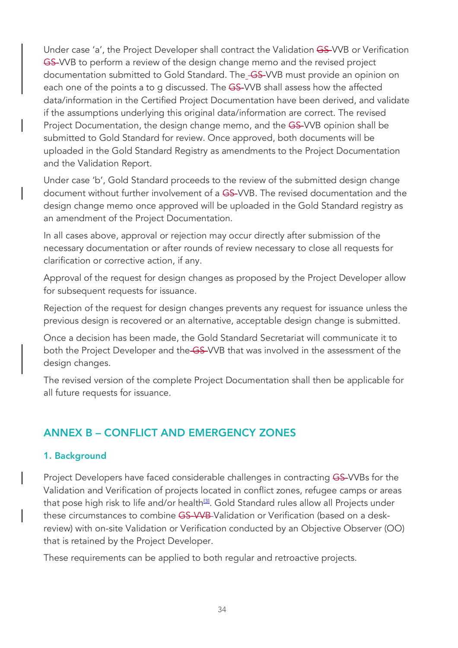Under case 'a', the Project Developer shall contract the Validation GS-VVB or Verification GS-VVB to perform a review of the design change memo and the revised project documentation submitted to Gold Standard. The\_GS-VVB must provide an opinion on each one of the points a to g discussed. The GS-VVB shall assess how the affected data/information in the Certified Project Documentation have been derived, and validate if the assumptions underlying this original data/information are correct. The revised Project Documentation, the design change memo, and the GS-VVB opinion shall be submitted to Gold Standard for review. Once approved, both documents will be uploaded in the Gold Standard Registry as amendments to the Project Documentation and the Validation Report.

Under case 'b', Gold Standard proceeds to the review of the submitted design change document without further involvement of a GS-VVB. The revised documentation and the design change memo once approved will be uploaded in the Gold Standard registry as an amendment of the Project Documentation.

In all cases above, approval or rejection may occur directly after submission of the necessary documentation or after rounds of review necessary to close all requests for clarification or corrective action, if any.

Approval of the request for design changes as proposed by the Project Developer allow for subsequent requests for issuance.

Rejection of the request for design changes prevents any request for issuance unless the previous design is recovered or an alternative, acceptable design change is submitted.

Once a decision has been made, the Gold Standard Secretariat will communicate it to both the Project Developer and the GS-VVB that was involved in the assessment of the design changes.

The revised version of the complete Project Documentation shall then be applicable for all future requests for issuance.

# ANNEX B – CONFLICT AND EMERGENCY ZONES

#### 1. Background

Project Developers have faced considerable challenges in contracting GS-VVBs for the Validation and Verification of projects located in conflict zones, refugee camps or areas that pose high risk to life and/or health<sup>[3]</sup>. Gold Standard rules allow all Projects under these circumstances to combine GS-VVB-Validation or Verification (based on a deskreview) with on-site Validation or Verification conducted by an Objective Observer (OO) that is retained by the Project Developer.

These requirements can be applied to both regular and retroactive projects.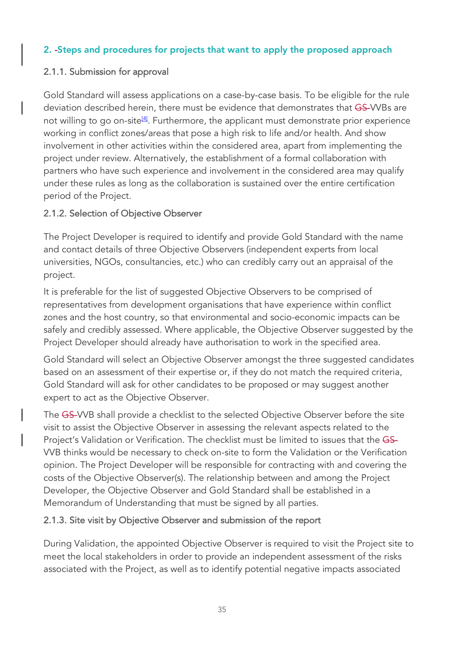#### 2. Steps and procedures for projects that want to apply the proposed approach

#### 2.1.1. Submission for approval

Gold Standard will assess applications on a case-by-case basis. To be eligible for the rule deviation described herein, there must be evidence that demonstrates that GS-VVBs are not willing to go on-site<sup>[4]</sup>. Furthermore, the applicant must demonstrate prior experience working in conflict zones/areas that pose a high risk to life and/or health. And show involvement in other activities within the considered area, apart from implementing the project under review. Alternatively, the establishment of a formal collaboration with partners who have such experience and involvement in the considered area may qualify under these rules as long as the collaboration is sustained over the entire certification period of the Project.

## 2.1.2. Selection of Objective Observer

The Project Developer is required to identify and provide Gold Standard with the name and contact details of three Objective Observers (independent experts from local universities, NGOs, consultancies, etc.) who can credibly carry out an appraisal of the project.

It is preferable for the list of suggested Objective Observers to be comprised of representatives from development organisations that have experience within conflict zones and the host country, so that environmental and socio-economic impacts can be safely and credibly assessed. Where applicable, the Objective Observer suggested by the Project Developer should already have authorisation to work in the specified area.

Gold Standard will select an Objective Observer amongst the three suggested candidates based on an assessment of their expertise or, if they do not match the required criteria, Gold Standard will ask for other candidates to be proposed or may suggest another expert to act as the Objective Observer.

The GS-VVB shall provide a checklist to the selected Objective Observer before the site visit to assist the Objective Observer in assessing the relevant aspects related to the Project's Validation or Verification. The checklist must be limited to issues that the GS-VVB thinks would be necessary to check on-site to form the Validation or the Verification opinion. The Project Developer will be responsible for contracting with and covering the costs of the Objective Observer(s). The relationship between and among the Project Developer, the Objective Observer and Gold Standard shall be established in a Memorandum of Understanding that must be signed by all parties.

#### 2.1.3. Site visit by Objective Observer and submission of the report

During Validation, the appointed Objective Observer is required to visit the Project site to meet the local stakeholders in order to provide an independent assessment of the risks associated with the Project, as well as to identify potential negative impacts associated